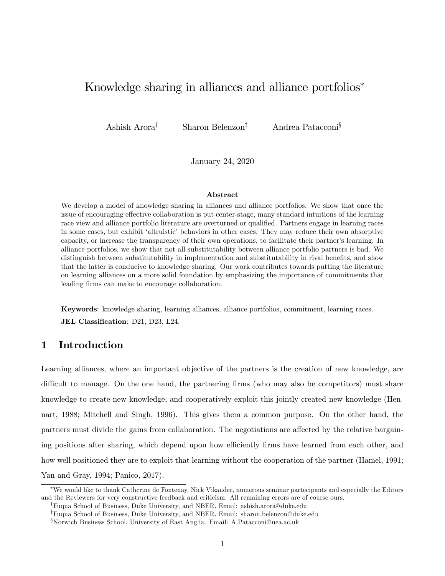# Knowledge sharing in alliances and alliance portfolios<sup>\*</sup>

Ashish Arora<sup>†</sup> Sharon Belenzon<sup>‡</sup> Andrea Patacconi<sup>§</sup>

January 24, 2020

#### Abstract

We develop a model of knowledge sharing in alliances and alliance portfolios. We show that once the issue of encouraging effective collaboration is put center-stage, many standard intuitions of the learning race view and alliance portfolio literature are overturned or qualified. Partners engage in learning races in some cases, but exhibit 'altruistic' behaviors in other cases. They may reduce their own absorptive capacity, or increase the transparency of their own operations, to facilitate their partner's learning. In alliance portfolios, we show that not all substitutability between alliance portfolio partners is bad. We distinguish between substitutability in implementation and substitutability in rival benefits, and show that the latter is conducive to knowledge sharing. Our work contributes towards putting the literature on learning alliances on a more solid foundation by emphasizing the importance of commitments that leading firms can make to encourage collaboration.

Keywords: knowledge sharing, learning alliances, alliance portfolios, commitment, learning races. JEL Classification: D21, D23, L24.

### 1 Introduction

Learning alliances, where an important objective of the partners is the creation of new knowledge, are difficult to manage. On the one hand, the partnering firms (who may also be competitors) must share knowledge to create new knowledge, and cooperatively exploit this jointly created new knowledge (Hennart, 1988; Mitchell and Singh, 1996). This gives them a common purpose. On the other hand, the partners must divide the gains from collaboration. The negotiations are affected by the relative bargaining positions after sharing, which depend upon how efficiently firms have learned from each other, and how well positioned they are to exploit that learning without the cooperation of the partner (Hamel, 1991; Yan and Gray, 1994; Panico, 2017).

We would like to thank Catherine de Fontenay, Nick Vikander, numerous seminar partecipants and especially the Editors and the Reviewers for very constructive feedback and criticism. All remaining errors are of course ours.

<sup>&</sup>lt;sup>†</sup>Fuqua School of Business, Duke University, and NBER. Email: ashish.arora@duke.edu

<sup>&</sup>lt;sup>‡</sup>Fuqua School of Business, Duke University, and NBER. Email: sharon.belenzon@duke.edu

<sup>x</sup>Norwich Business School, University of East Anglia. Email: A.Patacconi@uea.ac.uk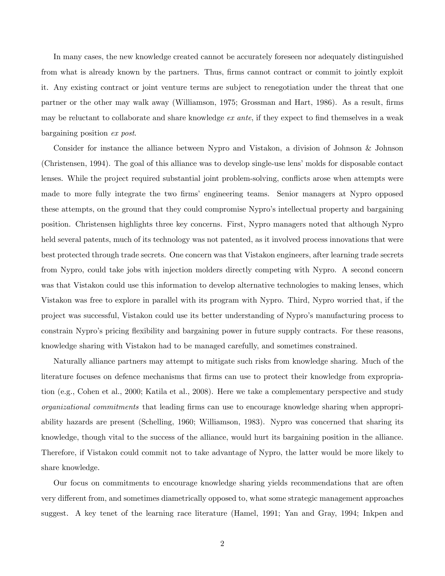In many cases, the new knowledge created cannot be accurately foreseen nor adequately distinguished from what is already known by the partners. Thus, firms cannot contract or commit to jointly exploit it. Any existing contract or joint venture terms are subject to renegotiation under the threat that one partner or the other may walk away (Williamson, 1975; Grossman and Hart, 1986). As a result, firms may be reluctant to collaborate and share knowledge  $ex$  ante, if they expect to find themselves in a weak bargaining position ex post.

Consider for instance the alliance between Nypro and Vistakon, a division of Johnson & Johnson (Christensen, 1994). The goal of this alliance was to develop single-use lensímolds for disposable contact lenses. While the project required substantial joint problem-solving, conflicts arose when attempts were made to more fully integrate the two firms' engineering teams. Senior managers at Nypro opposed these attempts, on the ground that they could compromise Nypro's intellectual property and bargaining position. Christensen highlights three key concerns. First, Nypro managers noted that although Nypro held several patents, much of its technology was not patented, as it involved process innovations that were best protected through trade secrets. One concern was that Vistakon engineers, after learning trade secrets from Nypro, could take jobs with injection molders directly competing with Nypro. A second concern was that Vistakon could use this information to develop alternative technologies to making lenses, which Vistakon was free to explore in parallel with its program with Nypro. Third, Nypro worried that, if the project was successful, Vistakon could use its better understanding of Nypro's manufacturing process to constrain Nyproís pricing áexibility and bargaining power in future supply contracts. For these reasons, knowledge sharing with Vistakon had to be managed carefully, and sometimes constrained.

Naturally alliance partners may attempt to mitigate such risks from knowledge sharing. Much of the literature focuses on defence mechanisms that firms can use to protect their knowledge from expropriation (e.g., Cohen et al., 2000; Katila et al., 2008). Here we take a complementary perspective and study organizational commitments that leading firms can use to encourage knowledge sharing when appropriability hazards are present (Schelling, 1960; Williamson, 1983). Nypro was concerned that sharing its knowledge, though vital to the success of the alliance, would hurt its bargaining position in the alliance. Therefore, if Vistakon could commit not to take advantage of Nypro, the latter would be more likely to share knowledge.

Our focus on commitments to encourage knowledge sharing yields recommendations that are often very different from, and sometimes diametrically opposed to, what some strategic management approaches suggest. A key tenet of the learning race literature (Hamel, 1991; Yan and Gray, 1994; Inkpen and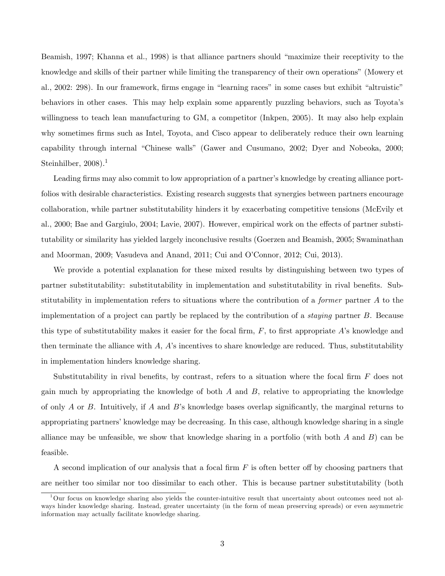Beamish, 1997; Khanna et al., 1998) is that alliance partners should "maximize their receptivity to the knowledge and skills of their partner while limiting the transparency of their own operations" (Mowery et al., 2002: 298). In our framework, firms engage in "learning races" in some cases but exhibit "altruistic" behaviors in other cases. This may help explain some apparently puzzling behaviors, such as Toyotaís willingness to teach lean manufacturing to GM, a competitor (Inkpen, 2005). It may also help explain why sometimes firms such as Intel, Toyota, and Cisco appear to deliberately reduce their own learning capability through internal "Chinese walls" (Gawer and Cusumano, 2002; Dyer and Nobeoka, 2000; Steinhilber, 2008).<sup>1</sup>

Leading firms may also commit to low appropriation of a partner's knowledge by creating alliance portfolios with desirable characteristics. Existing research suggests that synergies between partners encourage collaboration, while partner substitutability hinders it by exacerbating competitive tensions (McEvily et al., 2000; Bae and Gargiulo, 2004; Lavie, 2007). However, empirical work on the effects of partner substitutability or similarity has yielded largely inconclusive results (Goerzen and Beamish, 2005; Swaminathan and Moorman, 2009; Vasudeva and Anand, 2011; Cui and O'Connor, 2012; Cui, 2013).

We provide a potential explanation for these mixed results by distinguishing between two types of partner substitutability: substitutability in implementation and substitutability in rival benefits. Substitutability in implementation refers to situations where the contribution of a *former* partner  $A$  to the implementation of a project can partly be replaced by the contribution of a staying partner B. Because this type of substitutability makes it easier for the focal firm,  $F$ , to first appropriate A's knowledge and then terminate the alliance with  $A$ ,  $A$ 's incentives to share knowledge are reduced. Thus, substitutability in implementation hinders knowledge sharing.

Substitutability in rival benefits, by contrast, refers to a situation where the focal firm  $F$  does not gain much by appropriating the knowledge of both  $A$  and  $B$ , relative to appropriating the knowledge of only A or B. Intuitively, if A and B's knowledge bases overlap significantly, the marginal returns to appropriating partners' knowledge may be decreasing. In this case, although knowledge sharing in a single alliance may be unfeasible, we show that knowledge sharing in a portfolio (with both  $A$  and  $B$ ) can be feasible.

A second implication of our analysis that a focal firm  $F$  is often better off by choosing partners that are neither too similar nor too dissimilar to each other. This is because partner substitutability (both

 $1$ Our focus on knowledge sharing also yields the counter-intuitive result that uncertainty about outcomes need not always hinder knowledge sharing. Instead, greater uncertainty (in the form of mean preserving spreads) or even asymmetric information may actually facilitate knowledge sharing.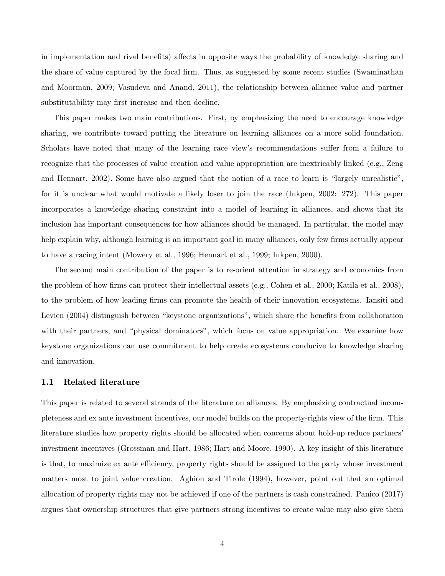in implementation and rival benefits) affects in opposite ways the probability of knowledge sharing and the share of value captured by the focal firm. Thus, as suggested by some recent studies (Swaminathan and Moorman, 2009; Vasudeva and Anand, 2011), the relationship between alliance value and partner substitutability may first increase and then decline.

This paper makes two main contributions. First, by emphasizing the need to encourage knowledge sharing, we contribute toward putting the literature on learning alliances on a more solid foundation. Scholars have noted that many of the learning race view's recommendations suffer from a failure to recognize that the processes of value creation and value appropriation are inextricably linked (e.g., Zeng and Hennart,  $2002$ ). Some have also argued that the notion of a race to learn is "largely unrealistic", for it is unclear what would motivate a likely loser to join the race (Inkpen, 2002: 272). This paper incorporates a knowledge sharing constraint into a model of learning in alliances, and shows that its inclusion has important consequences for how alliances should be managed. In particular, the model may help explain why, although learning is an important goal in many alliances, only few firms actually appear to have a racing intent (Mowery et al., 1996; Hennart et al., 1999; Inkpen, 2000).

The second main contribution of the paper is to re-orient attention in strategy and economics from the problem of how firms can protect their intellectual assets (e.g., Cohen et al., 2000; Katila et al., 2008), to the problem of how leading Örms can promote the health of their innovation ecosystems. Iansiti and Levien (2004) distinguish between "keystone organizations", which share the benefits from collaboration with their partners, and "physical dominators", which focus on value appropriation. We examine how keystone organizations can use commitment to help create ecosystems conducive to knowledge sharing and innovation.

#### 1.1 Related literature

This paper is related to several strands of the literature on alliances. By emphasizing contractual incompleteness and ex ante investment incentives, our model builds on the property-rights view of the firm. This literature studies how property rights should be allocated when concerns about hold-up reduce partnersí investment incentives (Grossman and Hart, 1986; Hart and Moore, 1990). A key insight of this literature is that, to maximize ex ante efficiency, property rights should be assigned to the party whose investment matters most to joint value creation. Aghion and Tirole (1994), however, point out that an optimal allocation of property rights may not be achieved if one of the partners is cash constrained. Panico (2017) argues that ownership structures that give partners strong incentives to create value may also give them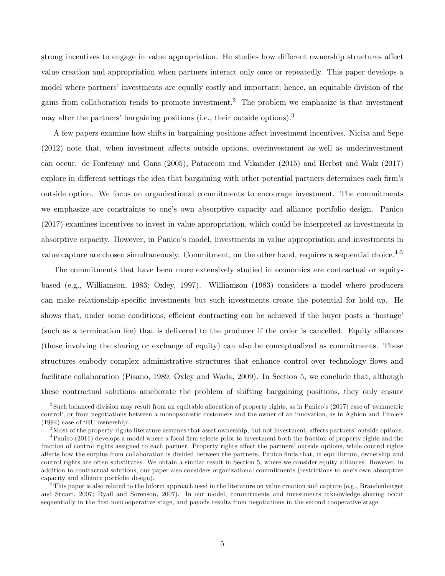strong incentives to engage in value appropriation. He studies how different ownership structures affect value creation and appropriation when partners interact only once or repeatedly. This paper develops a model where partners' investments are equally costly and important; hence, an equitable division of the gains from collaboration tends to promote investment.<sup>2</sup> The problem we emphasize is that investment may alter the partners' bargaining positions (i.e., their outside options).<sup>3</sup>

A few papers examine how shifts in bargaining positions affect investment incentives. Nicita and Sepe  $(2012)$  note that, when investment affects outside options, overinvestment as well as underinvestment can occur. de Fontenay and Gans (2005), Patacconi and Vikander (2015) and Herbst and Walz (2017) explore in different settings the idea that bargaining with other potential partners determines each firm's outside option. We focus on organizational commitments to encourage investment. The commitments we emphasize are constraints to one's own absorptive capacity and alliance portfolio design. Panico (2017) examines incentives to invest in value appropriation, which could be interpreted as investments in absorptive capacity. However, in Panicoís model, investments in value appropriation and investments in value capture are chosen simultaneously. Commitment, on the other hand, requires a sequential choice. $4.5$ 

The commitments that have been more extensively studied in economics are contractual or equitybased (e.g., Williamson, 1983; Oxley, 1997). Williamson (1983) considers a model where producers can make relationship-specific investments but such investments create the potential for hold-up. He shows that, under some conditions, efficient contracting can be achieved if the buyer posts a 'hostage' (such as a termination fee) that is delivered to the producer if the order is cancelled. Equity alliances (those involving the sharing or exchange of equity) can also be conceptualized as commitments. These structures embody complex administrative structures that enhance control over technology flows and facilitate collaboration (Pisano, 1989; Oxley and Wada, 2009). In Section 5, we conclude that, although these contractual solutions ameliorate the problem of shifting bargaining positions, they only ensure

<sup>&</sup>lt;sup>2</sup>Such balanced division may result from an equitable allocation of property rights, as in Panico's (2017) case of 'symmetric control', or from negotiations between a monopsonistic customers and the owner of an innovation, as in Aghion and Tirole's  $(1994)$  case of 'RU-ownership'.

 $3$ Most of the property-rights literature assumes that asset ownership, but not investment, affects partners' outside options.

 $4$ Panico (2011) develops a model where a focal firm selects prior to investment both the fraction of property rights and the fraction of control rights assigned to each partner. Property rights affect the partners' outside options, while control rights a§ects how the surplus from collaboration is divided between the partners. Panico Önds that, in equilibrium, ownership and control rights are often substitutes. We obtain a similar result in Section 5, where we consider equity alliances. However, in addition to contractual solutions, our paper also considers organizational commitments (restrictions to one's own absorptive capacity and alliance portfolio design).

<sup>&</sup>lt;sup>5</sup>This paper is also related to the biform approach used in the literature on value creation and capture (e.g., Brandenburger and Stuart, 2007; Ryall and Sorenson, 2007). In our model, commitments and investments inknowledge sharing occur sequentially in the first noncooperative stage, and payoffs results from negotiations in the second cooperative stage.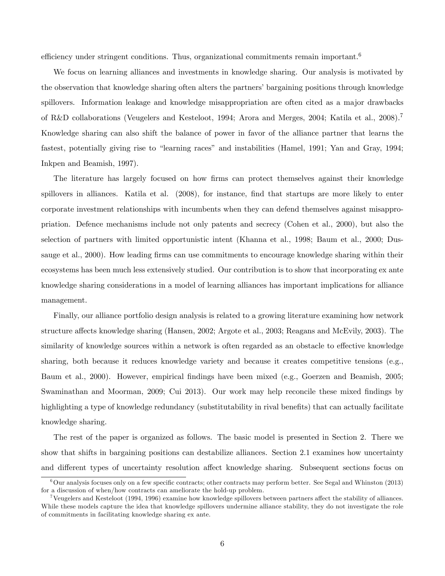efficiency under stringent conditions. Thus, organizational commitments remain important.<sup>6</sup>

We focus on learning alliances and investments in knowledge sharing. Our analysis is motivated by the observation that knowledge sharing often alters the partners' bargaining positions through knowledge spillovers. Information leakage and knowledge misappropriation are often cited as a major drawbacks of R&D collaborations (Veugelers and Kesteloot, 1994; Arora and Merges, 2004; Katila et al., 2008).<sup>7</sup> Knowledge sharing can also shift the balance of power in favor of the alliance partner that learns the fastest, potentially giving rise to "learning races" and instabilities (Hamel, 1991; Yan and Gray, 1994; Inkpen and Beamish, 1997).

The literature has largely focused on how firms can protect themselves against their knowledge spillovers in alliances. Katila et al. (2008), for instance, find that startups are more likely to enter corporate investment relationships with incumbents when they can defend themselves against misappropriation. Defence mechanisms include not only patents and secrecy (Cohen et al., 2000), but also the selection of partners with limited opportunistic intent (Khanna et al., 1998; Baum et al., 2000; Dussauge et al., 2000). How leading firms can use commitments to encourage knowledge sharing within their ecosystems has been much less extensively studied. Our contribution is to show that incorporating ex ante knowledge sharing considerations in a model of learning alliances has important implications for alliance management.

Finally, our alliance portfolio design analysis is related to a growing literature examining how network structure affects knowledge sharing (Hansen, 2002; Argote et al., 2003; Reagans and McEvily, 2003). The similarity of knowledge sources within a network is often regarded as an obstacle to effective knowledge sharing, both because it reduces knowledge variety and because it creates competitive tensions (e.g., Baum et al., 2000). However, empirical Öndings have been mixed (e.g., Goerzen and Beamish, 2005; Swaminathan and Moorman, 2009; Cui 2013). Our work may help reconcile these mixed findings by highlighting a type of knowledge redundancy (substitutability in rival benefits) that can actually facilitate knowledge sharing.

The rest of the paper is organized as follows. The basic model is presented in Section 2. There we show that shifts in bargaining positions can destabilize alliances. Section 2.1 examines how uncertainty and different types of uncertainty resolution affect knowledge sharing. Subsequent sections focus on

 $6$ Our analysis focuses only on a few specific contracts; other contracts may perform better. See Segal and Whinston (2013) for a discussion of when/how contracts can ameliorate the hold-up problem.

<sup>&</sup>lt;sup>7</sup>Veugelers and Kesteloot (1994, 1996) examine how knowledge spillovers between partners affect the stability of alliances. While these models capture the idea that knowledge spillovers undermine alliance stability, they do not investigate the role of commitments in facilitating knowledge sharing ex ante.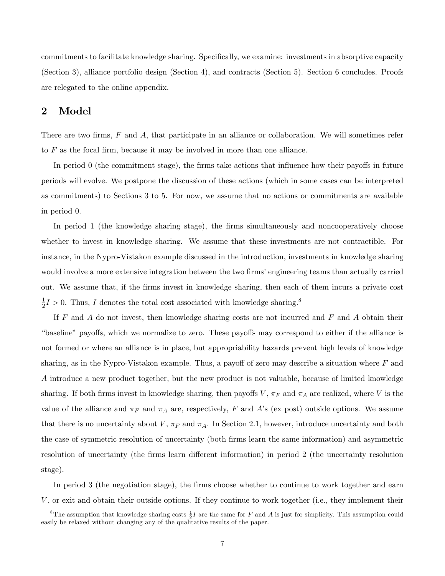commitments to facilitate knowledge sharing. Specifically, we examine: investments in absorptive capacity (Section 3), alliance portfolio design (Section 4), and contracts (Section 5). Section 6 concludes. Proofs are relegated to the online appendix.

## 2 Model

There are two firms,  $F$  and  $A$ , that participate in an alliance or collaboration. We will sometimes refer to  $F$  as the focal firm, because it may be involved in more than one alliance.

In period  $\theta$  (the commitment stage), the firms take actions that influence how their payoffs in future periods will evolve. We postpone the discussion of these actions (which in some cases can be interpreted as commitments) to Sections 3 to 5. For now, we assume that no actions or commitments are available in period 0.

In period 1 (the knowledge sharing stage), the firms simultaneously and noncooperatively choose whether to invest in knowledge sharing. We assume that these investments are not contractible. For instance, in the Nypro-Vistakon example discussed in the introduction, investments in knowledge sharing would involve a more extensive integration between the two firms' engineering teams than actually carried out. We assume that, if the Örms invest in knowledge sharing, then each of them incurs a private cost 1  $\frac{1}{2}I > 0$ . Thus, I denotes the total cost associated with knowledge sharing.<sup>8</sup>

If  $F$  and  $\overline{A}$  do not invest, then knowledge sharing costs are not incurred and  $\overline{F}$  and  $\overline{A}$  obtain their ìbaselineî payo§s, which we normalize to zero. These payo§s may correspond to either if the alliance is not formed or where an alliance is in place, but appropriability hazards prevent high levels of knowledge sharing, as in the Nypro-Vistakon example. Thus, a payoff of zero may describe a situation where  $F$  and A introduce a new product together, but the new product is not valuable, because of limited knowledge sharing. If both firms invest in knowledge sharing, then payoffs V,  $\pi_F$  and  $\pi_A$  are realized, where V is the value of the alliance and  $\pi_F$  and  $\pi_A$  are, respectively, F and A's (ex post) outside options. We assume that there is no uncertainty about  $V$ ,  $\pi_F$  and  $\pi_A$ . In Section 2.1, however, introduce uncertainty and both the case of symmetric resolution of uncertainty (both Örms learn the same information) and asymmetric resolution of uncertainty (the firms learn different information) in period 2 (the uncertainty resolution stage).

In period 3 (the negotiation stage), the firms choose whether to continue to work together and earn V , or exit and obtain their outside options. If they continue to work together (i.e., they implement their

<sup>&</sup>lt;sup>8</sup>The assumption that knowledge sharing costs  $\frac{1}{2}I$  are the same for F and A is just for simplicity. This assumption could easily be relaxed without changing any of the qualitative results of the paper.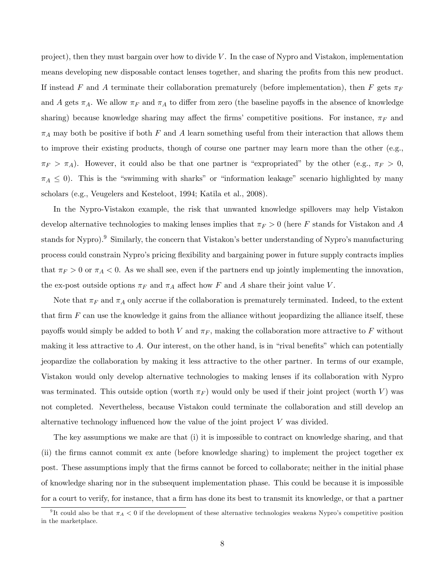project), then they must bargain over how to divide V. In the case of Nypro and Vistakon, implementation means developing new disposable contact lenses together, and sharing the profits from this new product. If instead F and A terminate their collaboration prematurely (before implementation), then F gets  $\pi_F$ and A gets  $\pi_A$ . We allow  $\pi_F$  and  $\pi_A$  to differ from zero (the baseline payoffs in the absence of knowledge sharing) because knowledge sharing may affect the firms' competitive positions. For instance,  $\pi_F$  and  $\pi_A$  may both be positive if both F and A learn something useful from their interaction that allows them to improve their existing products, though of course one partner may learn more than the other (e.g.,  $\pi_F > \pi_A$ ). However, it could also be that one partner is "expropriated" by the other (e.g.,  $\pi_F > 0$ ,  $\pi_A \leq 0$ . This is the "swimming with sharks" or "information leakage" scenario highlighted by many scholars (e.g., Veugelers and Kesteloot, 1994; Katila et al., 2008).

In the Nypro-Vistakon example, the risk that unwanted knowledge spillovers may help Vistakon develop alternative technologies to making lenses implies that  $\pi_F > 0$  (here F stands for Vistakon and A stands for Nypro).<sup>9</sup> Similarly, the concern that Vistakon's better understanding of Nypro's manufacturing process could constrain Nyproís pricing áexibility and bargaining power in future supply contracts implies that  $\pi_F > 0$  or  $\pi_A < 0$ . As we shall see, even if the partners end up jointly implementing the innovation, the ex-post outside options  $\pi_F$  and  $\pi_A$  affect how F and A share their joint value V.

Note that  $\pi_F$  and  $\pi_A$  only accrue if the collaboration is prematurely terminated. Indeed, to the extent that firm  $F$  can use the knowledge it gains from the alliance without jeopardizing the alliance itself, these payoffs would simply be added to both V and  $\pi_F$ , making the collaboration more attractive to F without making it less attractive to A. Our interest, on the other hand, is in "rival benefits" which can potentially jeopardize the collaboration by making it less attractive to the other partner. In terms of our example, Vistakon would only develop alternative technologies to making lenses if its collaboration with Nypro was terminated. This outside option (worth  $\pi_F$ ) would only be used if their joint project (worth V) was not completed. Nevertheless, because Vistakon could terminate the collaboration and still develop an alternative technology influenced how the value of the joint project  $V$  was divided.

The key assumptions we make are that (i) it is impossible to contract on knowledge sharing, and that (ii) the Örms cannot commit ex ante (before knowledge sharing) to implement the project together ex post. These assumptions imply that the Örms cannot be forced to collaborate; neither in the initial phase of knowledge sharing nor in the subsequent implementation phase. This could be because it is impossible for a court to verify, for instance, that a firm has done its best to transmit its knowledge, or that a partner

<sup>&</sup>lt;sup>9</sup>It could also be that  $\pi_A < 0$  if the development of these alternative technologies weakens Nypro's competitive position in the marketplace.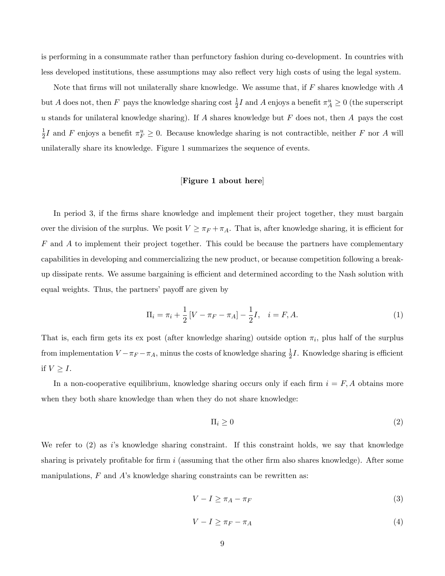is performing in a consummate rather than perfunctory fashion during co-development. In countries with less developed institutions, these assumptions may also reflect very high costs of using the legal system.

Note that firms will not unilaterally share knowledge. We assume that, if  $F$  shares knowledge with  $A$ but A does not, then F pays the knowledge sharing cost  $\frac{1}{2}I$  and A enjoys a benefit  $\pi_A^u \ge 0$  (the superscript u stands for unilateral knowledge sharing). If A shares knowledge but  $F$  does not, then A pays the cost 1  $\frac{1}{2}I$  and F enjoys a benefit  $\pi_F^u \geq 0$ . Because knowledge sharing is not contractible, neither F nor A will unilaterally share its knowledge. Figure 1 summarizes the sequence of events.

### [Figure 1 about here]

In period 3, if the firms share knowledge and implement their project together, they must bargain over the division of the surplus. We posit  $V \geq \pi_F + \pi_A$ . That is, after knowledge sharing, it is efficient for  $F$  and  $\tilde{A}$  to implement their project together. This could be because the partners have complementary capabilities in developing and commercializing the new product, or because competition following a breakup dissipate rents. We assume bargaining is efficient and determined according to the Nash solution with equal weights. Thus, the partners' payoff are given by

$$
\Pi_i = \pi_i + \frac{1}{2} \left[ V - \pi_F - \pi_A \right] - \frac{1}{2} I, \quad i = F, A.
$$
\n(1)

That is, each firm gets its ex post (after knowledge sharing) outside option  $\pi_i$ , plus half of the surplus from implementation  $V - \pi_F - \pi_A$ , minus the costs of knowledge sharing  $\frac{1}{2}I$ . Knowledge sharing is efficient if  $V \geq I$ .

In a non-cooperative equilibrium, knowledge sharing occurs only if each firm  $i = F, A$  obtains more when they both share knowledge than when they do not share knowledge:

$$
\Pi_i \ge 0 \tag{2}
$$

We refer to  $(2)$  as is knowledge sharing constraint. If this constraint holds, we say that knowledge sharing is privately profitable for firm  $i$  (assuming that the other firm also shares knowledge). After some manipulations,  $F$  and  $\hat{A}$ 's knowledge sharing constraints can be rewritten as:

$$
V - I \ge \pi_A - \pi_F \tag{3}
$$

$$
V - I \ge \pi_F - \pi_A \tag{4}
$$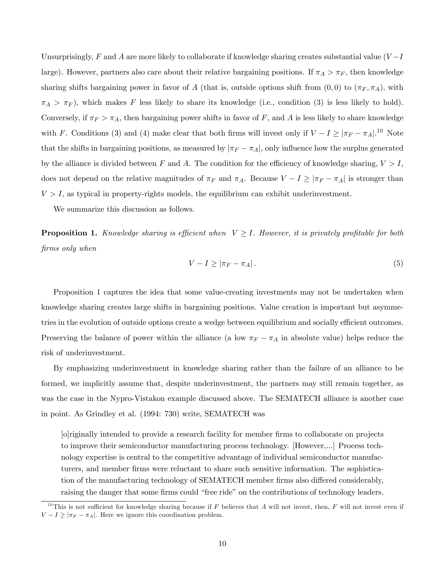Unsurprisingly, F and A are more likely to collaborate if knowledge sharing creates substantial value  $(V-I)$ large). However, partners also care about their relative bargaining positions. If  $\pi_A > \pi_F$ , then knowledge sharing shifts bargaining power in favor of A (that is, outside options shift from  $(0,0)$  to  $(\pi_F, \pi_A)$ , with  $\pi_A > \pi_F$ , which makes F less likely to share its knowledge (i.e., condition (3) is less likely to hold). Conversely, if  $\pi_F > \pi_A$ , then bargaining power shifts in favor of F, and A is less likely to share knowledge with F. Conditions (3) and (4) make clear that both firms will invest only if  $V - I \ge |\pi_F - \pi_A|$ .<sup>10</sup> Note that the shifts in bargaining positions, as measured by  $|\pi_F - \pi_A|$ , only influence how the surplus generated by the alliance is divided between F and A. The condition for the efficiency of knowledge sharing,  $V > I$ , does not depend on the relative magnitudes of  $\pi_F$  and  $\pi_A$ . Because  $V - I \geq |\pi_F - \pi_A|$  is stronger than  $V > I$ , as typical in property-rights models, the equilibrium can exhibit underinvestment.

We summarize this discussion as follows.

**Proposition 1.** Knowledge sharing is efficient when  $V \geq I$ . However, it is privately profitable for both firms only when

$$
V - I \ge |\pi_F - \pi_A| \,. \tag{5}
$$

Proposition 1 captures the idea that some value-creating investments may not be undertaken when knowledge sharing creates large shifts in bargaining positions. Value creation is important but asymmetries in the evolution of outside options create a wedge between equilibrium and socially efficient outcomes. Preserving the balance of power within the alliance (a low  $\pi_F - \pi_A$  in absolute value) helps reduce the risk of underinvestment.

By emphasizing underinvestment in knowledge sharing rather than the failure of an alliance to be formed, we implicitly assume that, despite underinvestment, the partners may still remain together, as was the case in the Nypro-Vistakon example discussed above. The SEMATECH alliance is another case in point. As Grindley et al. (1994: 730) write, SEMATECH was

[o]riginally intended to provide a research facility for member Örms to collaborate on projects to improve their semiconductor manufacturing process technology. [However,...] Process technology expertise is central to the competitive advantage of individual semiconductor manufacturers, and member Örms were reluctant to share such sensitive information. The sophistication of the manufacturing technology of SEMATECH member firms also differed considerably, raising the danger that some firms could "free ride" on the contributions of technology leaders.

<sup>&</sup>lt;sup>10</sup>This is not sufficient for knowledge sharing because if F believes that A will not invest, then, F will not invest even if  $V - I \geq |\pi_F - \pi_A|$ . Here we ignore this coordination problem.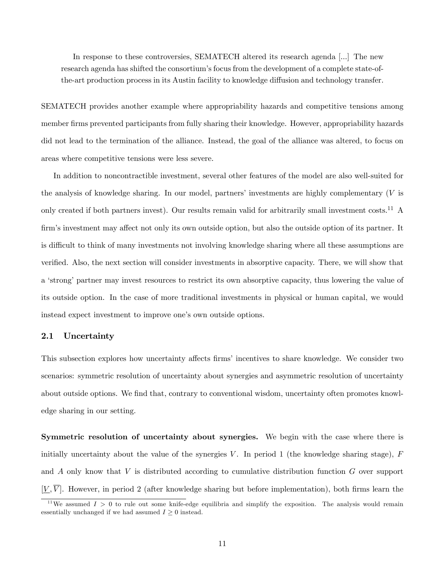In response to these controversies, SEMATECH altered its research agenda [...] The new research agenda has shifted the consortium's focus from the development of a complete state-ofthe-art production process in its Austin facility to knowledge diffusion and technology transfer.

SEMATECH provides another example where appropriability hazards and competitive tensions among member firms prevented participants from fully sharing their knowledge. However, appropriability hazards did not lead to the termination of the alliance. Instead, the goal of the alliance was altered, to focus on areas where competitive tensions were less severe.

In addition to noncontractible investment, several other features of the model are also well-suited for the analysis of knowledge sharing. In our model, partners' investments are highly complementary  $(V$  is only created if both partners invest). Our results remain valid for arbitrarily small investment costs.<sup>11</sup> A firm's investment may affect not only its own outside option, but also the outside option of its partner. It is difficult to think of many investments not involving knowledge sharing where all these assumptions are verified. Also, the next section will consider investments in absorptive capacity. There, we will show that a 'strong' partner may invest resources to restrict its own absorptive capacity, thus lowering the value of its outside option. In the case of more traditional investments in physical or human capital, we would instead expect investment to improve one's own outside options.

### 2.1 Uncertainty

This subsection explores how uncertainty affects firms' incentives to share knowledge. We consider two scenarios: symmetric resolution of uncertainty about synergies and asymmetric resolution of uncertainty about outside options. We find that, contrary to conventional wisdom, uncertainty often promotes knowledge sharing in our setting.

Symmetric resolution of uncertainty about synergies. We begin with the case where there is initially uncertainty about the value of the synergies V. In period 1 (the knowledge sharing stage),  $F$ and  $A$  only know that  $V$  is distributed according to cumulative distribution function  $G$  over support  $[V, \overline{V}]$ . However, in period 2 (after knowledge sharing but before implementation), both firms learn the

<sup>&</sup>lt;sup>11</sup>We assumed  $I > 0$  to rule out some knife-edge equilibria and simplify the exposition. The analysis would remain essentially unchanged if we had assumed  $I \geq 0$  instead.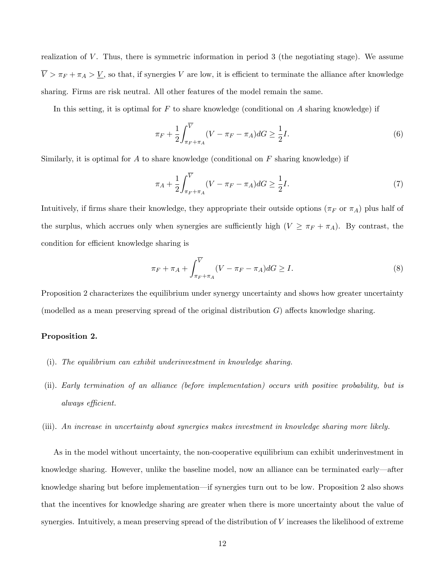realization of  $V$ . Thus, there is symmetric information in period 3 (the negotiating stage). We assume  $\overline{V} > \pi_F + \pi_A > \underline{V}$ , so that, if synergies V are low, it is efficient to terminate the alliance after knowledge sharing. Firms are risk neutral. All other features of the model remain the same.

In this setting, it is optimal for  $F$  to share knowledge (conditional on  $A$  sharing knowledge) if

$$
\pi_F + \frac{1}{2} \int_{\pi_F + \pi_A}^{\overline{V}} (V - \pi_F - \pi_A) dG \ge \frac{1}{2} I.
$$
 (6)

Similarly, it is optimal for A to share knowledge (conditional on  $F$  sharing knowledge) if

$$
\pi_A + \frac{1}{2} \int_{\pi_F + \pi_A}^{\overline{V}} (V - \pi_F - \pi_A) dG \ge \frac{1}{2} I.
$$
 (7)

Intuitively, if firms share their knowledge, they appropriate their outside options ( $\pi_F$  or  $\pi_A$ ) plus half of the surplus, which accrues only when synergies are sufficiently high  $(V \geq \pi_F + \pi_A)$ . By contrast, the condition for efficient knowledge sharing is

$$
\pi_F + \pi_A + \int_{\pi_F + \pi_A}^{\overline{V}} (V - \pi_F - \pi_A) dG \ge I.
$$
\n(8)

Proposition 2 characterizes the equilibrium under synergy uncertainty and shows how greater uncertainty (modelled as a mean preserving spread of the original distribution  $G$ ) affects knowledge sharing.

#### Proposition 2.

- (i). The equilibrium can exhibit underinvestment in knowledge sharing.
- (ii). Early termination of an alliance (before implementation) occurs with positive probability, but is always efficient.
- (iii). An increase in uncertainty about synergies makes investment in knowledge sharing more likely.

As in the model without uncertainty, the non-cooperative equilibrium can exhibit underinvestment in knowledge sharing. However, unlike the baseline model, now an alliance can be terminated early—after knowledge sharing but before implementation—if synergies turn out to be low. Proposition 2 also shows that the incentives for knowledge sharing are greater when there is more uncertainty about the value of synergies. Intuitively, a mean preserving spread of the distribution of V increases the likelihood of extreme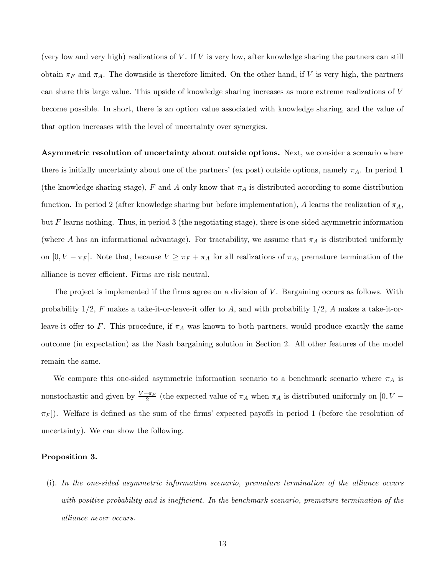(very low and very high) realizations of  $V$ . If  $V$  is very low, after knowledge sharing the partners can still obtain  $\pi_F$  and  $\pi_A$ . The downside is therefore limited. On the other hand, if V is very high, the partners can share this large value. This upside of knowledge sharing increases as more extreme realizations of V become possible. In short, there is an option value associated with knowledge sharing, and the value of that option increases with the level of uncertainty over synergies.

Asymmetric resolution of uncertainty about outside options. Next, we consider a scenario where there is initially uncertainty about one of the partners' (ex post) outside options, namely  $\pi_A$ . In period 1 (the knowledge sharing stage), F and A only know that  $\pi_A$  is distributed according to some distribution function. In period 2 (after knowledge sharing but before implementation), A learns the realization of  $\pi_A$ , but F learns nothing. Thus, in period 3 (the negotiating stage), there is one-sided asymmetric information (where A has an informational advantage). For tractability, we assume that  $\pi_A$  is distributed uniformly on  $[0, V - \pi_F]$ . Note that, because  $V \ge \pi_F + \pi_A$  for all realizations of  $\pi_A$ , premature termination of the alliance is never efficient. Firms are risk neutral.

The project is implemented if the firms agree on a division of  $V$ . Bargaining occurs as follows. With probability  $1/2$ , F makes a take-it-or-leave-it offer to A, and with probability  $1/2$ , A makes a take-it-orleave-it offer to F. This procedure, if  $\pi_A$  was known to both partners, would produce exactly the same outcome (in expectation) as the Nash bargaining solution in Section 2. All other features of the model remain the same.

We compare this one-sided asymmetric information scenario to a benchmark scenario where  $\pi_A$  is nonstochastic and given by  $\frac{V - \pi_F}{2}$  (the expected value of  $\pi_A$  when  $\pi_A$  is distributed uniformly on  $[0, V \pi_F$ ). Welfare is defined as the sum of the firms' expected payoffs in period 1 (before the resolution of uncertainty). We can show the following.

#### Proposition 3.

(i). In the one-sided asymmetric information scenario, premature termination of the alliance occurs with positive probability and is inefficient. In the benchmark scenario, premature termination of the alliance never occurs.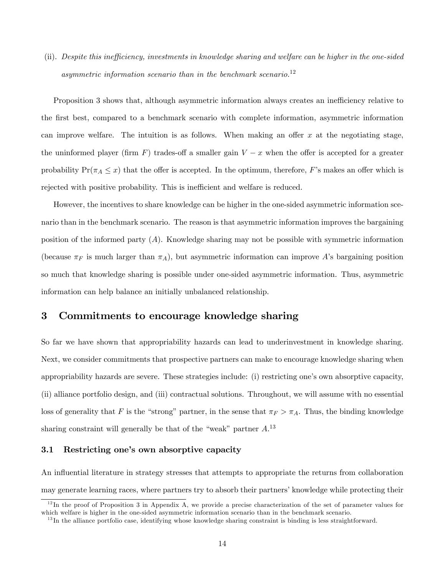(ii). Despite this inefficiency, investments in knowledge sharing and welfare can be higher in the one-sided asymmetric information scenario than in the benchmark scenario.<sup>12</sup>

Proposition 3 shows that, although asymmetric information always creates an inefficiency relative to the first best, compared to a benchmark scenario with complete information, asymmetric information can improve welfare. The intuition is as follows. When making an offer  $x$  at the negotiating stage, the uninformed player (firm F) trades-off a smaller gain  $V - x$  when the offer is accepted for a greater probability  $Pr(\pi_A \leq x)$  that the offer is accepted. In the optimum, therefore, F's makes an offer which is rejected with positive probability. This is inefficient and welfare is reduced.

However, the incentives to share knowledge can be higher in the one-sided asymmetric information scenario than in the benchmark scenario. The reason is that asymmetric information improves the bargaining position of the informed party (A). Knowledge sharing may not be possible with symmetric information (because  $\pi_F$  is much larger than  $\pi_A$ ), but asymmetric information can improve A's bargaining position so much that knowledge sharing is possible under one-sided asymmetric information. Thus, asymmetric information can help balance an initially unbalanced relationship.

## 3 Commitments to encourage knowledge sharing

So far we have shown that appropriability hazards can lead to underinvestment in knowledge sharing. Next, we consider commitments that prospective partners can make to encourage knowledge sharing when appropriability hazards are severe. These strategies include: (i) restricting one's own absorptive capacity, (ii) alliance portfolio design, and (iii) contractual solutions. Throughout, we will assume with no essential loss of generality that F is the "strong" partner, in the sense that  $\pi_F > \pi_A$ . Thus, the binding knowledge sharing constraint will generally be that of the "weak" partner  $A$ <sup>13</sup>

#### 3.1 Restricting one's own absorptive capacity

An influential literature in strategy stresses that attempts to appropriate the returns from collaboration may generate learning races, where partners try to absorb their partners' knowledge while protecting their

 $12$ In the proof of Proposition 3 in Appendix A, we provide a precise characterization of the set of parameter values for which welfare is higher in the one-sided asymmetric information scenario than in the benchmark scenario.

 $13$  In the alliance portfolio case, identifying whose knowledge sharing constraint is binding is less straightforward.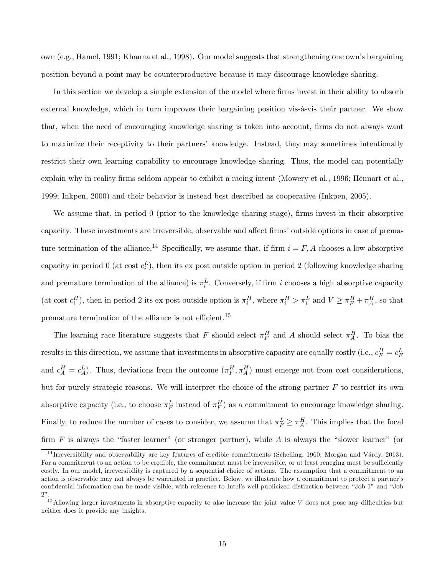own (e.g., Hamel, 1991; Khanna et al., 1998). Our model suggests that strengthening one ownís bargaining position beyond a point may be counterproductive because it may discourage knowledge sharing.

In this section we develop a simple extension of the model where firms invest in their ability to absorb external knowledge, which in turn improves their bargaining position vis- $\lambda$ -vis their partner. We show that, when the need of encouraging knowledge sharing is taken into account, firms do not always want to maximize their receptivity to their partnersí knowledge. Instead, they may sometimes intentionally restrict their own learning capability to encourage knowledge sharing. Thus, the model can potentially explain why in reality firms seldom appear to exhibit a racing intent (Mowery et al., 1996; Hennart et al., 1999; Inkpen, 2000) and their behavior is instead best described as cooperative (Inkpen, 2005).

We assume that, in period 0 (prior to the knowledge sharing stage), firms invest in their absorptive capacity. These investments are irreversible, observable and affect firms' outside options in case of premature termination of the alliance.<sup>14</sup> Specifically, we assume that, if firm  $i = F, A$  chooses a low absorptive capacity in period 0 (at cost  $c_i^L$ ), then its ex post outside option in period 2 (following knowledge sharing and premature termination of the alliance) is  $\pi_i^L$ . Conversely, if firm i chooses a high absorptive capacity (at cost  $c_i^H$ ), then in period 2 its ex post outside option is  $\pi_i^H$ , where  $\pi_i^H > \pi_i^L$  and  $V \ge \pi_i^H + \pi_A^H$ , so that premature termination of the alliance is not efficient.<sup>15</sup>

The learning race literature suggests that F should select  $\pi_F^H$  and A should select  $\pi_A^H$ . To bias the results in this direction, we assume that investments in absorptive capacity are equally costly (i.e.,  $c_F^H = c_F^L$ and  $c_A^H = c_A^L$ ). Thus, deviations from the outcome  $(\pi_F^H, \pi_A^H)$  must emerge not from cost considerations, but for purely strategic reasons. We will interpret the choice of the strong partner  $F$  to restrict its own absorptive capacity (i.e., to choose  $\pi_F^L$  instead of  $\pi_F^H$ ) as a commitment to encourage knowledge sharing. Finally, to reduce the number of cases to consider, we assume that  $\pi_F^L \geq \pi_A^H$ . This implies that the focal firm  $F$  is always the "faster learner" (or stronger partner), while  $A$  is always the "slower learner" (or

 $14$  Irreversibility and observability are key features of credible commitments (Schelling, 1960; Morgan and Várdy, 2013). For a commitment to an action to be credible, the commitment must be irreversible, or at least reneging must be sufficiently costly. In our model, irreversibility is captured by a sequential choice of actions. The assumption that a commitment to an action is observable may not always be warranted in practice. Below, we illustrate how a commitment to protect a partnerís confidential information can be made visible, with reference to Intel's well-publicized distinction between "Job 1" and "Job  $2$ "

 $15$ Allowing larger investments in absorptive capacity to also increase the joint value V does not pose any difficulties but neither does it provide any insights.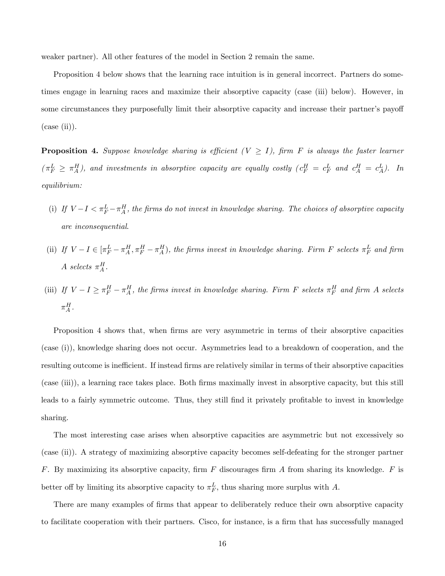weaker partner). All other features of the model in Section 2 remain the same.

Proposition 4 below shows that the learning race intuition is in general incorrect. Partners do sometimes engage in learning races and maximize their absorptive capacity (case (iii) below). However, in some circumstances they purposefully limit their absorptive capacity and increase their partner's payoff  $(\text{case (ii)}).$ 

**Proposition 4.** Suppose knowledge sharing is efficient  $(V \geq I)$ , firm F is always the faster learner  $(\pi_F^L \geq \pi_A^H)$ , and investments in absorptive capacity are equally costly  $(c_F^H = c_F^L$  and  $c_A^H = c_A^L)$ . In equilibrium:

- (i) If  $V-I < \pi_F^L-\pi_A^H$ , the firms do not invest in knowledge sharing. The choices of absorptive capacity are inconsequential.
- (ii) If  $V-I \in [\pi_F^L \pi_A^H, \pi_F^H \pi_A^H)$ , the firms invest in knowledge sharing. Firm F selects  $\pi_F^L$  and firm A selects  $\pi_A^H$ .
- (iii) If  $V I \geq \pi_F^H \pi_A^H$ , the firms invest in knowledge sharing. Firm F selects  $\pi_F^H$  and firm A selects  $\pi_A^H$ .

Proposition 4 shows that, when firms are very asymmetric in terms of their absorptive capacities (case (i)), knowledge sharing does not occur. Asymmetries lead to a breakdown of cooperation, and the resulting outcome is inefficient. If instead firms are relatively similar in terms of their absorptive capacities (case (iii)), a learning race takes place. Both Örms maximally invest in absorptive capacity, but this still leads to a fairly symmetric outcome. Thus, they still find it privately profitable to invest in knowledge sharing.

The most interesting case arises when absorptive capacities are asymmetric but not excessively so (case (ii)). A strategy of maximizing absorptive capacity becomes self-defeating for the stronger partner F. By maximizing its absorptive capacity, firm F discourages firm A from sharing its knowledge. F is better off by limiting its absorptive capacity to  $\pi_F^L$ , thus sharing more surplus with A.

There are many examples of firms that appear to deliberately reduce their own absorptive capacity to facilitate cooperation with their partners. Cisco, for instance, is a firm that has successfully managed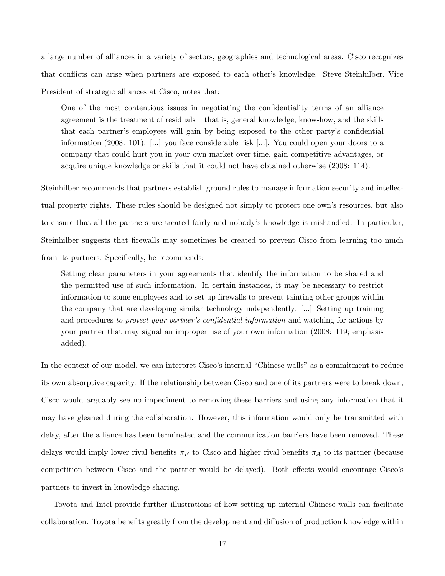a large number of alliances in a variety of sectors, geographies and technological areas. Cisco recognizes that conflicts can arise when partners are exposed to each other's knowledge. Steve Steinhilber, Vice President of strategic alliances at Cisco, notes that:

One of the most contentious issues in negotiating the confidentiality terms of an alliance agreement is the treatment of residuals  $-$  that is, general knowledge, know-how, and the skills that each partner's employees will gain by being exposed to the other party's confidential information (2008: 101). [...] you face considerable risk [...]. You could open your doors to a company that could hurt you in your own market over time, gain competitive advantages, or acquire unique knowledge or skills that it could not have obtained otherwise (2008: 114).

Steinhilber recommends that partners establish ground rules to manage information security and intellectual property rights. These rules should be designed not simply to protect one ownís resources, but also to ensure that all the partners are treated fairly and nobodyís knowledge is mishandled. In particular, Steinhilber suggests that firewalls may sometimes be created to prevent Cisco from learning too much from its partners. Specifically, he recommends:

Setting clear parameters in your agreements that identify the information to be shared and the permitted use of such information. In certain instances, it may be necessary to restrict information to some employees and to set up firewalls to prevent tainting other groups within the company that are developing similar technology independently. [...] Setting up training and procedures to protect your partner's confidential information and watching for actions by your partner that may signal an improper use of your own information (2008: 119; emphasis added).

In the context of our model, we can interpret Cisco's internal "Chinese walls" as a commitment to reduce its own absorptive capacity. If the relationship between Cisco and one of its partners were to break down, Cisco would arguably see no impediment to removing these barriers and using any information that it may have gleaned during the collaboration. However, this information would only be transmitted with delay, after the alliance has been terminated and the communication barriers have been removed. These delays would imply lower rival benefits  $\pi_F$  to Cisco and higher rival benefits  $\pi_A$  to its partner (because competition between Cisco and the partner would be delayed). Both effects would encourage Cisco's partners to invest in knowledge sharing.

Toyota and Intel provide further illustrations of how setting up internal Chinese walls can facilitate collaboration. Toyota benefits greatly from the development and diffusion of production knowledge within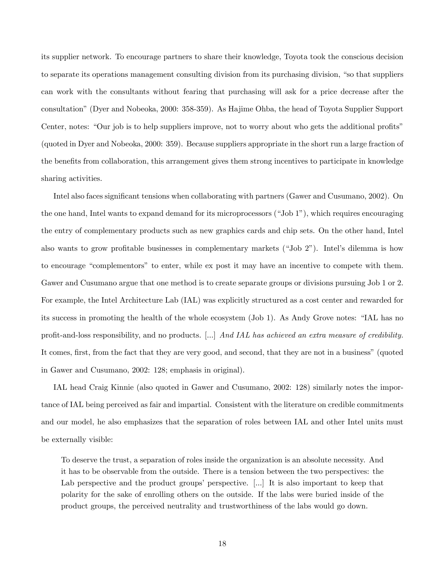its supplier network. To encourage partners to share their knowledge, Toyota took the conscious decision to separate its operations management consulting division from its purchasing division, "so that suppliers" can work with the consultants without fearing that purchasing will ask for a price decrease after the consultationî(Dyer and Nobeoka, 2000: 358-359). As Hajime Ohba, the head of Toyota Supplier Support Center, notes: "Our job is to help suppliers improve, not to worry about who gets the additional profits" (quoted in Dyer and Nobeoka, 2000: 359). Because suppliers appropriate in the short run a large fraction of the benefits from collaboration, this arrangement gives them strong incentives to participate in knowledge sharing activities.

Intel also faces significant tensions when collaborating with partners (Gawer and Cusumano, 2002). On the one hand, Intel wants to expand demand for its microprocessors  $("Job 1")$ , which requires encouraging the entry of complementary products such as new graphics cards and chip sets. On the other hand, Intel also wants to grow profitable businesses in complementary markets ("Job 2"). Intel's dilemma is how to encourage "complementors" to enter, while ex post it may have an incentive to compete with them. Gawer and Cusumano argue that one method is to create separate groups or divisions pursuing Job 1 or 2. For example, the Intel Architecture Lab (IAL) was explicitly structured as a cost center and rewarded for its success in promoting the health of the whole ecosystem (Job 1). As Andy Grove notes: "IAL has no profit-and-loss responsibility, and no products. [...] And IAL has achieved an extra measure of credibility. It comes, first, from the fact that they are very good, and second, that they are not in a business" (quoted in Gawer and Cusumano, 2002: 128; emphasis in original).

IAL head Craig Kinnie (also quoted in Gawer and Cusumano, 2002: 128) similarly notes the importance of IAL being perceived as fair and impartial. Consistent with the literature on credible commitments and our model, he also emphasizes that the separation of roles between IAL and other Intel units must be externally visible:

To deserve the trust, a separation of roles inside the organization is an absolute necessity. And it has to be observable from the outside. There is a tension between the two perspectives: the Lab perspective and the product groups' perspective.  $[\dots]$  It is also important to keep that polarity for the sake of enrolling others on the outside. If the labs were buried inside of the product groups, the perceived neutrality and trustworthiness of the labs would go down.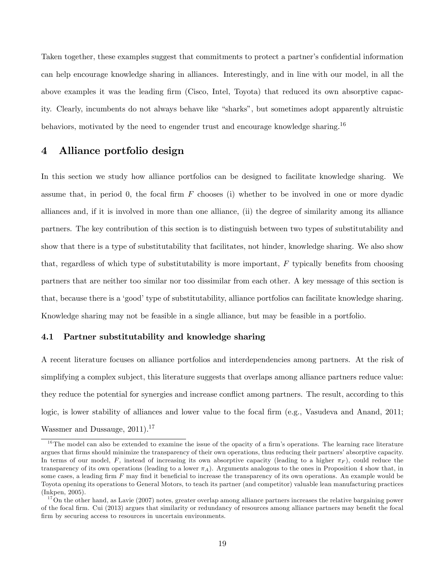Taken together, these examples suggest that commitments to protect a partner's confidential information can help encourage knowledge sharing in alliances. Interestingly, and in line with our model, in all the above examples it was the leading firm (Cisco, Intel, Toyota) that reduced its own absorptive capacity. Clearly, incumbents do not always behave like "sharks", but sometimes adopt apparently altruistic behaviors, motivated by the need to engender trust and encourage knowledge sharing.<sup>16</sup>

### 4 Alliance portfolio design

In this section we study how alliance portfolios can be designed to facilitate knowledge sharing. We assume that, in period 0, the focal firm  $F$  chooses (i) whether to be involved in one or more dyadic alliances and, if it is involved in more than one alliance, (ii) the degree of similarity among its alliance partners. The key contribution of this section is to distinguish between two types of substitutability and show that there is a type of substitutability that facilitates, not hinder, knowledge sharing. We also show that, regardless of which type of substitutability is more important,  $F$  typically benefits from choosing partners that are neither too similar nor too dissimilar from each other. A key message of this section is that, because there is a 'good' type of substitutability, alliance portfolios can facilitate knowledge sharing. Knowledge sharing may not be feasible in a single alliance, but may be feasible in a portfolio.

### 4.1 Partner substitutability and knowledge sharing

A recent literature focuses on alliance portfolios and interdependencies among partners. At the risk of simplifying a complex subject, this literature suggests that overlaps among alliance partners reduce value: they reduce the potential for synergies and increase conflict among partners. The result, according to this logic, is lower stability of alliances and lower value to the focal firm (e.g., Vasudeva and Anand, 2011; Wassmer and Dussauge,  $2011$ ).<sup>17</sup>

 $16$ The model can also be extended to examine the issue of the opacity of a firm's operations. The learning race literature argues that firms should minimize the transparency of their own operations, thus reducing their partners' absorptive capacity. In terms of our model, F, instead of increasing its own absorptive capacity (leading to a higher  $\pi_F$ ), could reduce the transparency of its own operations (leading to a lower  $\pi_A$ ). Arguments analogous to the ones in Proposition 4 show that, in some cases, a leading firm  $F$  may find it beneficial to increase the transparency of its own operations. An example would be Toyota opening its operations to General Motors, to teach its partner (and competitor) valuable lean manufacturing practices (Inkpen, 2005).

 $17$ On the other hand, as Lavie (2007) notes, greater overlap among alliance partners increases the relative bargaining power of the focal firm. Cui (2013) argues that similarity or redundancy of resources among alliance partners may benefit the focal firm by securing access to resources in uncertain environments.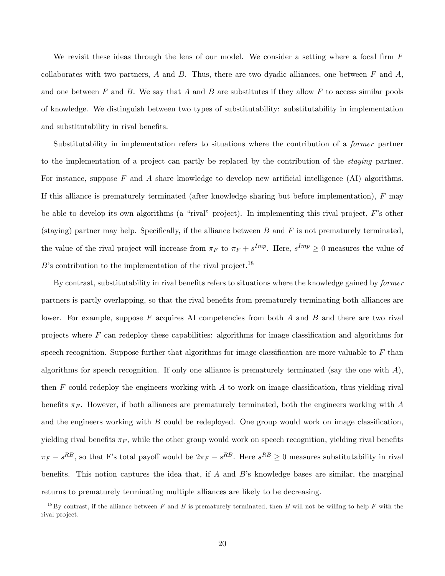We revisit these ideas through the lens of our model. We consider a setting where a focal firm  $F$ collaborates with two partners,  $A$  and  $B$ . Thus, there are two dyadic alliances, one between  $F$  and  $A$ , and one between  $F$  and  $B$ . We say that  $A$  and  $B$  are substitutes if they allow  $F$  to access similar pools of knowledge. We distinguish between two types of substitutability: substitutability in implementation and substitutability in rival benefits.

Substitutability in implementation refers to situations where the contribution of a former partner to the implementation of a project can partly be replaced by the contribution of the staying partner. For instance, suppose  $F$  and  $\tilde{A}$  share knowledge to develop new artificial intelligence (AI) algorithms. If this alliance is prematurely terminated (after knowledge sharing but before implementation),  $F$  may be able to develop its own algorithms (a "rival" project). In implementing this rival project,  $F$ 's other (staying) partner may help. Specifically, if the alliance between  $B$  and  $F$  is not prematurely terminated, the value of the rival project will increase from  $\pi_F$  to  $\pi_F + s^{Imp}$ . Here,  $s^{Imp} \geq 0$  measures the value of  $B$ 's contribution to the implementation of the rival project.<sup>18</sup>

By contrast, substitutability in rival benefits refers to situations where the knowledge gained by *former* partners is partly overlapping, so that the rival benefits from prematurely terminating both alliances are lower. For example, suppose  $F$  acquires AI competencies from both  $A$  and  $B$  and there are two rival projects where  $F$  can redeploy these capabilities: algorithms for image classification and algorithms for speech recognition. Suppose further that algorithms for image classification are more valuable to  $F$  than algorithms for speech recognition. If only one alliance is prematurely terminated (say the one with  $\hat{A}$ ), then  $F$  could redeploy the engineers working with  $A$  to work on image classification, thus yielding rival benefits  $\pi_F$ . However, if both alliances are prematurely terminated, both the engineers working with A and the engineers working with  $B$  could be redeployed. One group would work on image classification, yielding rival benefits  $\pi_F$ , while the other group would work on speech recognition, yielding rival benefits  $\pi_F - s^{RB}$ , so that F's total payoff would be  $2\pi_F - s^{RB}$ . Here  $s^{RB} \geq 0$  measures substitutability in rival benefits. This notion captures the idea that, if A and B's knowledge bases are similar, the marginal returns to prematurely terminating multiple alliances are likely to be decreasing.

<sup>&</sup>lt;sup>18</sup>By contrast, if the alliance between F and B is prematurely terminated, then B will not be willing to help F with the rival project.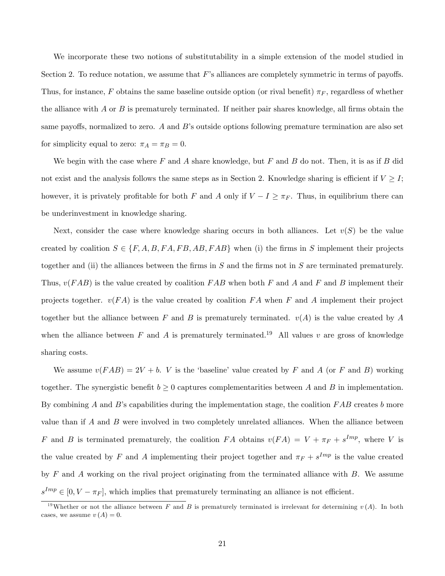We incorporate these two notions of substitutability in a simple extension of the model studied in Section 2. To reduce notation, we assume that  $F$ 's alliances are completely symmetric in terms of payoffs. Thus, for instance, F obtains the same baseline outside option (or rival benefit)  $\pi_F$ , regardless of whether the alliance with A or B is prematurely terminated. If neither pair shares knowledge, all firms obtain the same payoffs, normalized to zero. A and B's outside options following premature termination are also set for simplicity equal to zero:  $\pi_A = \pi_B = 0$ .

We begin with the case where F and A share knowledge, but F and B do not. Then, it is as if B did not exist and the analysis follows the same steps as in Section 2. Knowledge sharing is efficient if  $V \geq I$ ; however, it is privately profitable for both F and A only if  $V - I \geq \pi_F$ . Thus, in equilibrium there can be underinvestment in knowledge sharing.

Next, consider the case where knowledge sharing occurs in both alliances. Let  $v(S)$  be the value created by coalition  $S \in \{F, A, B, FA, FB, AB, FAB\}$  when (i) the firms in S implement their projects together and (ii) the alliances between the firms in  $S$  and the firms not in  $S$  are terminated prematurely. Thus,  $v(FAB)$  is the value created by coalition FAB when both F and A and F and B implement their projects together.  $v(FA)$  is the value created by coalition  $FA$  when F and A implement their project together but the alliance between F and B is prematurely terminated.  $v(A)$  is the value created by A when the alliance between F and A is prematurely terminated.<sup>19</sup> All values v are gross of knowledge sharing costs.

We assume  $v(FAB) = 2V + b$ . *V* is the 'baseline' value created by F and A (or F and B) working together. The synergistic benefit  $b \geq 0$  captures complementarities between A and B in implementation. By combining A and B's capabilities during the implementation stage, the coalition  $FAB$  creates b more value than if A and B were involved in two completely unrelated alliances. When the alliance between F and B is terminated prematurely, the coalition FA obtains  $v(FA) = V + \pi_F + s^{Imp}$ , where V is the value created by F and A implementing their project together and  $\pi_F + s^{Imp}$  is the value created by  $F$  and  $\tilde{A}$  working on the rival project originating from the terminated alliance with  $B$ . We assume  $s^{Imp} \in [0, V - \pi_F]$ , which implies that prematurely terminating an alliance is not efficient.

<sup>&</sup>lt;sup>19</sup>Whether or not the alliance between F and B is prematurely terminated is irrelevant for determining  $v(A)$ . In both cases, we assume  $v(A) = 0$ .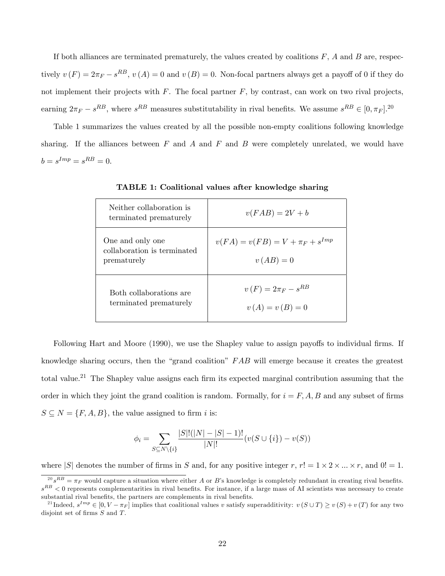If both alliances are terminated prematurely, the values created by coalitions  $F$ ,  $A$  and  $B$  are, respectively  $v(F) = 2\pi_F - s^{RB}$ ,  $v(A) = 0$  and  $v(B) = 0$ . Non-focal partners always get a payoff of 0 if they do not implement their projects with  $F$ . The focal partner  $F$ , by contrast, can work on two rival projects, earning  $2\pi_F - s^{RB}$ , where  $s^{RB}$  measures substitutability in rival benefits. We assume  $s^{RB} \in [0, \pi_F]$ .<sup>20</sup>

Table 1 summarizes the values created by all the possible non-empty coalitions following knowledge sharing. If the alliances between  $F$  and  $A$  and  $F$  and  $B$  were completely unrelated, we would have  $b = s^{Imp} = s^{RB} = 0.$ 

| Neither collaboration is<br>terminated prematurely             | $v(FAB) = 2V + b$                                  |
|----------------------------------------------------------------|----------------------------------------------------|
| One and only one<br>collaboration is terminated<br>prematurely | $v(FA) = v(FB) = V + \pi_F + s^{Imp}$<br>$v(AB)=0$ |
| Both collaborations are<br>terminated prematurely              | $v(F) = 2\pi_F - s^{RB}$<br>$v(A) = v(B) = 0$      |

TABLE 1: Coalitional values after knowledge sharing

Following Hart and Moore (1990), we use the Shapley value to assign payoffs to individual firms. If knowledge sharing occurs, then the "grand coalition"  $FAB$  will emerge because it creates the greatest total value.<sup>21</sup> The Shapley value assigns each firm its expected marginal contribution assuming that the order in which they joint the grand coalition is random. Formally, for  $i = F, A, B$  and any subset of firms  $S \subseteq N = \{F, A, B\}$ , the value assigned to firm *i* is:

$$
\phi_i = \sum_{S \subseteq N \setminus \{i\}} \frac{|S|!(|N| - |S| - 1)!}{|N|!} (v(S \cup \{i\}) - v(S))
$$

where  $|S|$  denotes the number of firms in S and, for any positive integer r,  $r! = 1 \times 2 \times ... \times r$ , and  $0! = 1$ .

 $^{20} s^{RB} = \pi_F$  would capture a situation where either A or B's knowledge is completely redundant in creating rival benefits.  $s^{RB}$  < 0 represents complementarities in rival benefits. For instance, if a large mass of AI scientists was necessary to create substantial rival benefits, the partners are complements in rival benefits.

<sup>&</sup>lt;sup>21</sup>Indeed,  $s^{Imp} \in [0, V - \pi_F]$  implies that coalitional values v satisfy superadditivity:  $v(S \cup T) \ge v(S) + v(T)$  for any two disjoint set of firms  $S$  and  $T$ .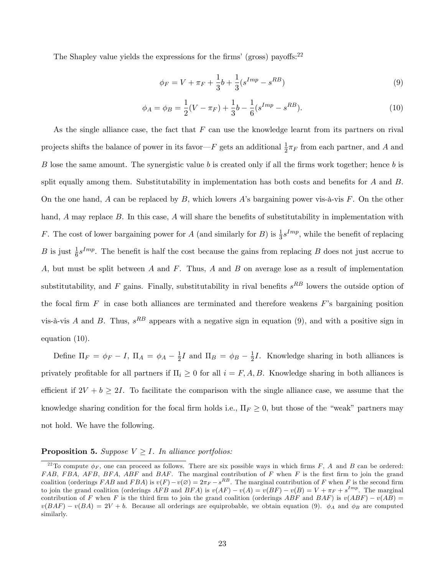The Shapley value yields the expressions for the firms' (gross) payoffs:  $2^2$ 

$$
\phi_F = V + \pi_F + \frac{1}{3}b + \frac{1}{3}(s^{Imp} - s^{RB})
$$
\n(9)

$$
\phi_A = \phi_B = \frac{1}{2}(V - \pi_F) + \frac{1}{3}b - \frac{1}{6}(s^{Imp} - s^{RB}).
$$
\n(10)

As the single alliance case, the fact that  $F$  can use the knowledge learnt from its partners on rival projects shifts the balance of power in its favor $-F$  gets an additional  $\frac{1}{2}\pi_F$  from each partner, and A and B lose the same amount. The synergistic value b is created only if all the firms work together; hence b is split equally among them. Substitutability in implementation has both costs and benefits for  $A$  and  $B$ . On the one hand, A can be replaced by B, which lowers A's bargaining power vis- $\hat{a}$ -vis F. On the other hand, A may replace B. In this case, A will share the benefits of substitutability in implementation with F. The cost of lower bargaining power for A (and similarly for B) is  $\frac{1}{3} s^{Imp}$ , while the benefit of replacing B is just  $\frac{1}{6} s^{Imp}$ . The benefit is half the cost because the gains from replacing B does not just accrue to A, but must be split between A and F. Thus, A and B on average lose as a result of implementation substitutability, and F gains. Finally, substitutability in rival benefits  $s^{RB}$  lowers the outside option of the focal firm  $F$  in case both alliances are terminated and therefore weakens  $F$ 's bargaining position vis-à-vis A and B. Thus,  $s^{RB}$  appears with a negative sign in equation (9), and with a positive sign in equation (10).

Define  $\Pi_F = \phi_F - I$ ,  $\Pi_A = \phi_A - \frac{1}{2}$  $\frac{1}{2}I$  and  $\Pi_B = \phi_B - \frac{1}{2}$  $\frac{1}{2}I$ . Knowledge sharing in both alliances is privately profitable for all partners if  $\Pi_i \geq 0$  for all  $i = F, A, B$ . Knowledge sharing in both alliances is efficient if  $2V + b \geq 2I$ . To facilitate the comparison with the single alliance case, we assume that the knowledge sharing condition for the focal firm holds i.e.,  $\Pi_F \geq 0$ , but those of the "weak" partners may not hold. We have the following.

#### **Proposition 5.** Suppose  $V \geq I$ . In alliance portfolios:

<sup>&</sup>lt;sup>22</sup>To compute  $\phi_F$ , one can proceed as follows. There are six possible ways in which firms F, A and B can be ordered: FAB, FBA, AFB, BFA, ABF and BAF. The marginal contribution of F when F is the first firm to join the grand coalition (orderings FAB and FBA) is  $v(F) - v(\emptyset) = 2\pi_F - s^{RB}$ . The marginal contribution of F when F is the second firm to join the grand coalition (orderings  $AFB$  and  $BFA$ ) is  $v(AF) - v(A) = v(BF) - v(B) = V + \pi_F + s^{Imp}$ . The marginal contribution of F when F is the third firm to join the grand coalition (orderings ABF and BAF) is  $v(ABF) - v(AB) =$  $v(BAF) - v(BA) = 2V + b$ . Because all orderings are equiprobable, we obtain equation (9).  $\phi_A$  and  $\phi_B$  are computed similarly.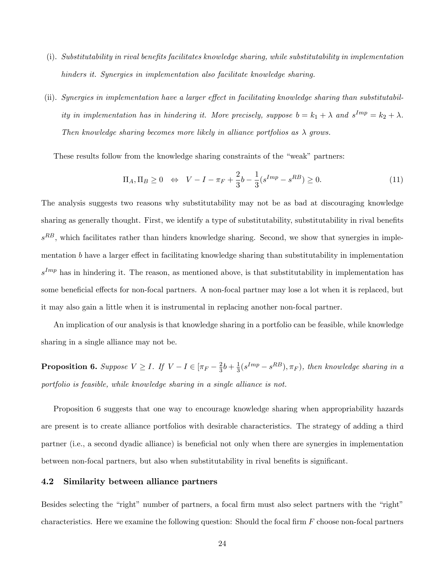- (i). Substitutability in rival benefits facilitates knowledge sharing, while substitutability in implementation hinders it. Synergies in implementation also facilitate knowledge sharing.
- (ii). Synergies in implementation have a larger effect in facilitating knowledge sharing than substitutability in implementation has in hindering it. More precisely, suppose  $b = k_1 + \lambda$  and  $s^{Imp} = k_2 + \lambda$ . Then knowledge sharing becomes more likely in alliance portfolios as  $\lambda$  grows.

These results follow from the knowledge sharing constraints of the "weak" partners:

$$
\Pi_A, \Pi_B \ge 0 \iff V - I - \pi_F + \frac{2}{3}b - \frac{1}{3}(s^{Imp} - s^{RB}) \ge 0.
$$
\n(11)

The analysis suggests two reasons why substitutability may not be as bad at discouraging knowledge sharing as generally thought. First, we identify a type of substitutability, substitutability in rival benefits  $s^{RB}$ , which facilitates rather than hinders knowledge sharing. Second, we show that synergies in implementation  $b$  have a larger effect in facilitating knowledge sharing than substitutability in implementation  $s^{Imp}$  has in hindering it. The reason, as mentioned above, is that substitutability in implementation has some beneficial effects for non-focal partners. A non-focal partner may lose a lot when it is replaced, but it may also gain a little when it is instrumental in replacing another non-focal partner.

An implication of our analysis is that knowledge sharing in a portfolio can be feasible, while knowledge sharing in a single alliance may not be.

**Proposition 6.** Suppose  $V \geq I$ . If  $V - I \in [\pi_F - \frac{2}{3}]$  $\frac{2}{3}b + \frac{1}{3}$  $\frac{1}{3}(s^{Imp} - s^{RB}), \pi_F)$ , then knowledge sharing in a portfolio is feasible, while knowledge sharing in a single alliance is not.

Proposition 6 suggests that one way to encourage knowledge sharing when appropriability hazards are present is to create alliance portfolios with desirable characteristics. The strategy of adding a third partner (i.e., a second dyadic alliance) is beneficial not only when there are synergies in implementation between non-focal partners, but also when substitutability in rival benefits is significant.

### 4.2 Similarity between alliance partners

Besides selecting the "right" number of partners, a focal firm must also select partners with the "right" characteristics. Here we examine the following question: Should the focal firm  $F$  choose non-focal partners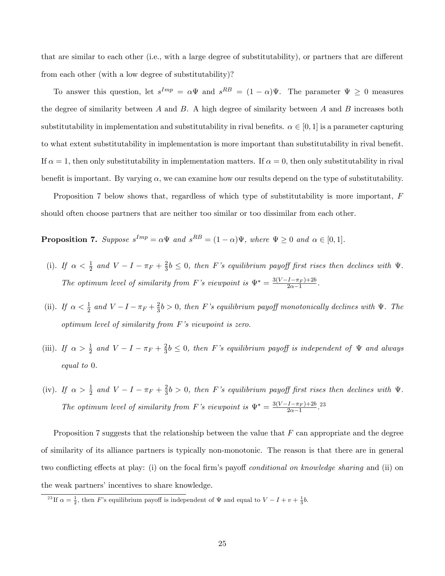that are similar to each other (i.e., with a large degree of substitutability), or partners that are different from each other (with a low degree of substitutability)?

To answer this question, let  $s^{Imp} = \alpha \Psi$  and  $s^{RB} = (1 - \alpha)\Psi$ . The parameter  $\Psi \geq 0$  measures the degree of similarity between A and B. A high degree of similarity between A and B increases both substitutability in implementation and substitutability in rival benefits.  $\alpha \in [0, 1]$  is a parameter capturing to what extent substitutability in implementation is more important than substitutability in rival benefit. If  $\alpha = 1$ , then only substitutability in implementation matters. If  $\alpha = 0$ , then only substitutability in rival benefit is important. By varying  $\alpha$ , we can examine how our results depend on the type of substitutability.

Proposition 7 below shows that, regardless of which type of substitutability is more important, F should often choose partners that are neither too similar or too dissimilar from each other.

**Proposition 7.** Suppose  $s^{Imp} = \alpha \Psi$  and  $s^{RB} = (1 - \alpha)\Psi$ , where  $\Psi \geq 0$  and  $\alpha \in [0, 1]$ .

- (i). If  $\alpha < \frac{1}{2}$  and  $V I \pi_F + \frac{2}{3}$  $\frac{2}{3}b \leq 0$ , then F's equilibrium payoff first rises then declines with  $\Psi$ . The optimum level of similarity from F's viewpoint is  $\Psi^* = \frac{3(V-I-\pi_F)+2b}{2\alpha-1}$  $\frac{(1-\pi_F)+20}{2\alpha-1}$ .
- (ii). If  $\alpha < \frac{1}{2}$  and  $V I \pi_F + \frac{2}{3}$  $\frac{2}{3}b > 0$ , then F's equilibrium payoff monotonically declines with  $\Psi$ . The optimum level of similarity from  $F$ 's viewpoint is zero.
- (iii). If  $\alpha > \frac{1}{2}$  and  $V I \pi_F + \frac{2}{3}$  $\frac{2}{3}b \leq 0$ , then F's equilibrium payoff is independent of  $\Psi$  and always equal to 0.
- (iv). If  $\alpha > \frac{1}{2}$  and  $V I \pi_F + \frac{2}{3}$  $\frac{2}{3}b > 0$ , then F's equilibrium payoff first rises then declines with  $\Psi$ . The optimum level of similarity from F's viewpoint is  $\Psi^* = \frac{3(V-I-\pi_F)+2b}{2\alpha-1}$  $\frac{(1-\pi_F)+2b}{2\alpha-1}$ .<sup>23</sup>

Proposition 7 suggests that the relationship between the value that  $F$  can appropriate and the degree of similarity of its alliance partners is typically non-monotonic. The reason is that there are in general two conflicting effects at play: (i) on the focal firm's payoff *conditional on knowledge sharing* and (ii) on the weak partners' incentives to share knowledge.

<sup>&</sup>lt;sup>23</sup>If  $\alpha = \frac{1}{2}$ , then F's equilibrium payoff is independent of  $\Psi$  and equal to  $V - I + v + \frac{1}{3}b$ .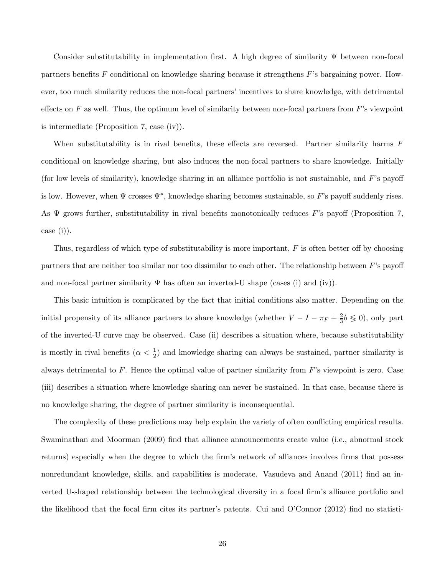Consider substitutability in implementation first. A high degree of similarity  $\Psi$  between non-focal partners benefits F conditional on knowledge sharing because it strengthens F's bargaining power. However, too much similarity reduces the non-focal partners' incentives to share knowledge, with detrimental effects on  $F$  as well. Thus, the optimum level of similarity between non-focal partners from  $F$ 's viewpoint is intermediate (Proposition 7, case (iv)).

When substitutability is in rival benefits, these effects are reversed. Partner similarity harms  $F$ conditional on knowledge sharing, but also induces the non-focal partners to share knowledge. Initially (for low levels of similarity), knowledge sharing in an alliance portfolio is not sustainable, and  $F$ 's payoff is low. However, when  $\Psi$  crosses  $\Psi^*$ , knowledge sharing becomes sustainable, so F's payoff suddenly rises. As  $\Psi$  grows further, substitutability in rival benefits monotonically reduces F's payoff (Proposition 7, case (i)).

Thus, regardless of which type of substitutability is more important,  $F$  is often better off by choosing partners that are neither too similar nor too dissimilar to each other. The relationship between  $F$ 's payoff and non-focal partner similarity  $\Psi$  has often an inverted-U shape (cases (i) and (iv)).

This basic intuition is complicated by the fact that initial conditions also matter. Depending on the initial propensity of its alliance partners to share knowledge (whether  $V - I - \pi_F + \frac{2}{3}$  $\frac{2}{3}b \leqslant 0$ , only part of the inverted-U curve may be observed. Case (ii) describes a situation where, because substitutability is mostly in rival benefits  $(\alpha < \frac{1}{2})$  and knowledge sharing can always be sustained, partner similarity is always detrimental to  $F$ . Hence the optimal value of partner similarity from  $F$ 's viewpoint is zero. Case (iii) describes a situation where knowledge sharing can never be sustained. In that case, because there is no knowledge sharing, the degree of partner similarity is inconsequential.

The complexity of these predictions may help explain the variety of often conflicting empirical results. Swaminathan and Moorman (2009) find that alliance announcements create value (i.e., abnormal stock returns) especially when the degree to which the firm's network of alliances involves firms that possess nonredundant knowledge, skills, and capabilities is moderate. Vasudeva and Anand (2011) find an inverted U-shaped relationship between the technological diversity in a focal firm's alliance portfolio and the likelihood that the focal firm cites its partner's patents. Cui and O'Connor  $(2012)$  find no statisti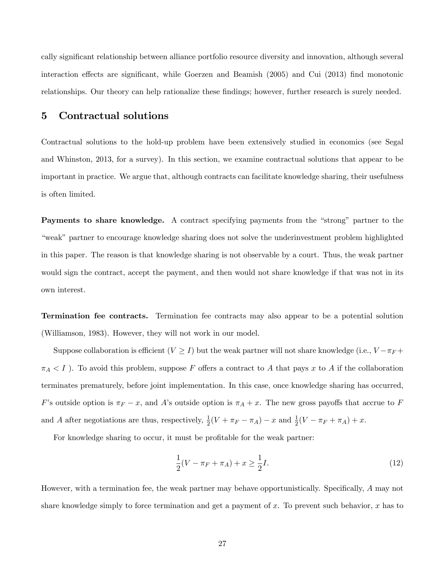cally significant relationship between alliance portfolio resource diversity and innovation, although several interaction effects are significant, while Goerzen and Beamish  $(2005)$  and Cui  $(2013)$  find monotonic relationships. Our theory can help rationalize these findings; however, further research is surely needed.

## 5 Contractual solutions

Contractual solutions to the hold-up problem have been extensively studied in economics (see Segal and Whinston, 2013, for a survey). In this section, we examine contractual solutions that appear to be important in practice. We argue that, although contracts can facilitate knowledge sharing, their usefulness is often limited.

Payments to share knowledge. A contract specifying payments from the "strong" partner to the "weak" partner to encourage knowledge sharing does not solve the underinvestment problem highlighted in this paper. The reason is that knowledge sharing is not observable by a court. Thus, the weak partner would sign the contract, accept the payment, and then would not share knowledge if that was not in its own interest.

Termination fee contracts. Termination fee contracts may also appear to be a potential solution (Williamson, 1983). However, they will not work in our model.

Suppose collaboration is efficient  $(V \geq I)$  but the weak partner will not share knowledge (i.e.,  $V - \pi_F +$  $\pi_A < I$ ). To avoid this problem, suppose F offers a contract to A that pays x to A if the collaboration terminates prematurely, before joint implementation. In this case, once knowledge sharing has occurred, F's outside option is  $\pi_F - x$ , and A's outside option is  $\pi_A + x$ . The new gross payoffs that accrue to F and A after negotiations are thus, respectively,  $\frac{1}{2}(V + \pi_F - \pi_A) - x$  and  $\frac{1}{2}(V - \pi_F + \pi_A) + x$ .

For knowledge sharing to occur, it must be profitable for the weak partner:

$$
\frac{1}{2}(V - \pi_F + \pi_A) + x \ge \frac{1}{2}I.
$$
\n(12)

However, with a termination fee, the weak partner may behave opportunistically. Specifically,  $A$  may not share knowledge simply to force termination and get a payment of  $x$ . To prevent such behavior,  $x$  has to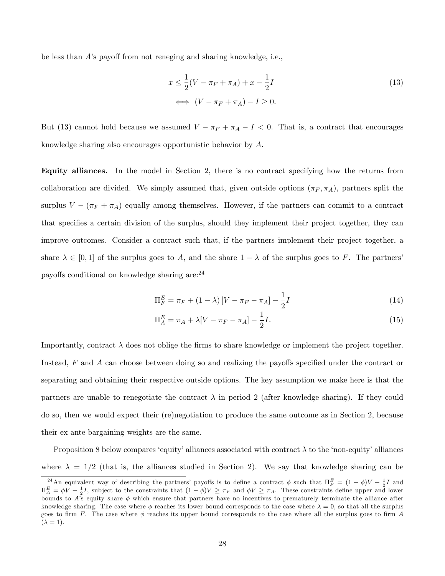be less than  $\hat{A}$ 's payoff from not reneging and sharing knowledge, i.e.,

$$
x \le \frac{1}{2}(V - \pi_F + \pi_A) + x - \frac{1}{2}I
$$
  

$$
\iff (V - \pi_F + \pi_A) - I \ge 0.
$$
 (13)

But (13) cannot hold because we assumed  $V - \pi_F + \pi_A - I < 0$ . That is, a contract that encourages knowledge sharing also encourages opportunistic behavior by A.

Equity alliances. In the model in Section 2, there is no contract specifying how the returns from collaboration are divided. We simply assumed that, given outside options  $(\pi_F, \pi_A)$ , partners split the surplus  $V - (\pi_F + \pi_A)$  equally among themselves. However, if the partners can commit to a contract that specifies a certain division of the surplus, should they implement their project together, they can improve outcomes. Consider a contract such that, if the partners implement their project together, a share  $\lambda \in [0,1]$  of the surplus goes to A, and the share  $1 - \lambda$  of the surplus goes to F. The partners' payoffs conditional on knowledge sharing are:<sup>24</sup>

$$
\Pi_F^E = \pi_F + (1 - \lambda) \left[ V - \pi_F - \pi_A \right] - \frac{1}{2} I \tag{14}
$$

$$
\Pi_A^E = \pi_A + \lambda[V - \pi_F - \pi_A] - \frac{1}{2}I.
$$
\n(15)

Importantly, contract  $\lambda$  does not oblige the firms to share knowledge or implement the project together. Instead,  $F$  and  $\vec{A}$  can choose between doing so and realizing the payoffs specified under the contract or separating and obtaining their respective outside options. The key assumption we make here is that the partners are unable to renegotiate the contract  $\lambda$  in period 2 (after knowledge sharing). If they could do so, then we would expect their (re)negotiation to produce the same outcome as in Section 2, because their ex ante bargaining weights are the same.

Proposition 8 below compares 'equity' alliances associated with contract  $\lambda$  to the 'non-equity' alliances where  $\lambda = 1/2$  (that is, the alliances studied in Section 2). We say that knowledge sharing can be

<sup>&</sup>lt;sup>24</sup> An equivalent way of describing the partners' payoffs is to define a contract  $\phi$  such that  $\Pi_F^E = (1 - \phi)V - \frac{1}{2}I$  and  $\Pi_A^E = \phi V - \frac{1}{2}I$ , subject to the constraints that  $(1 - \phi)V \geq \pi_F$  and  $\phi V \geq \pi_A$ . These constraints define upper and lower bounds to A's equity share  $\phi$  which ensure that partners have no incentives to prematurely terminate the alliance after knowledge sharing. The case where  $\phi$  reaches its lower bound corresponds to the case where  $\lambda = 0$ , so that all the surplus goes to firm F. The case where  $\phi$  reaches its upper bound corresponds to the case where all the surplus goes to firm A  $(\lambda = 1)$ .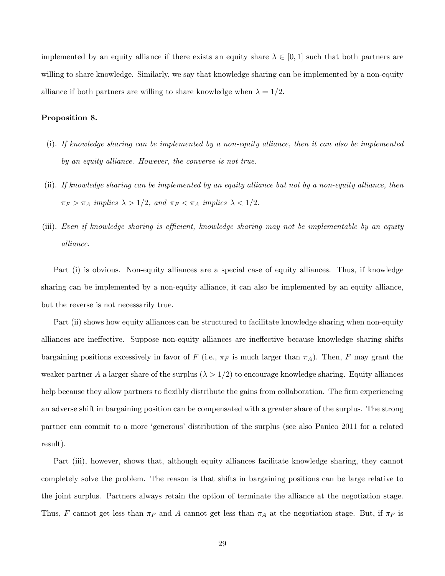implemented by an equity alliance if there exists an equity share  $\lambda \in [0,1]$  such that both partners are willing to share knowledge. Similarly, we say that knowledge sharing can be implemented by a non-equity alliance if both partners are willing to share knowledge when  $\lambda = 1/2$ .

#### Proposition 8.

- (i). If knowledge sharing can be implemented by a non-equity alliance, then it can also be implemented by an equity alliance. However, the converse is not true.
- (ii). If knowledge sharing can be implemented by an equity alliance but not by a non-equity alliance, then  $\pi_F > \pi_A$  implies  $\lambda > 1/2$ , and  $\pi_F < \pi_A$  implies  $\lambda < 1/2$ .
- (iii). Even if knowledge sharing is efficient, knowledge sharing may not be implementable by an equity alliance.

Part (i) is obvious. Non-equity alliances are a special case of equity alliances. Thus, if knowledge sharing can be implemented by a non-equity alliance, it can also be implemented by an equity alliance, but the reverse is not necessarily true.

Part (ii) shows how equity alliances can be structured to facilitate knowledge sharing when non-equity alliances are ineffective. Suppose non-equity alliances are ineffective because knowledge sharing shifts bargaining positions excessively in favor of F (i.e.,  $\pi_F$  is much larger than  $\pi_A$ ). Then, F may grant the weaker partner A a larger share of the surplus  $(\lambda > 1/2)$  to encourage knowledge sharing. Equity alliances help because they allow partners to flexibly distribute the gains from collaboration. The firm experiencing an adverse shift in bargaining position can be compensated with a greater share of the surplus. The strong partner can commit to a more 'generous' distribution of the surplus (see also Panico 2011 for a related result).

Part (iii), however, shows that, although equity alliances facilitate knowledge sharing, they cannot completely solve the problem. The reason is that shifts in bargaining positions can be large relative to the joint surplus. Partners always retain the option of terminate the alliance at the negotiation stage. Thus, F cannot get less than  $\pi_F$  and A cannot get less than  $\pi_A$  at the negotiation stage. But, if  $\pi_F$  is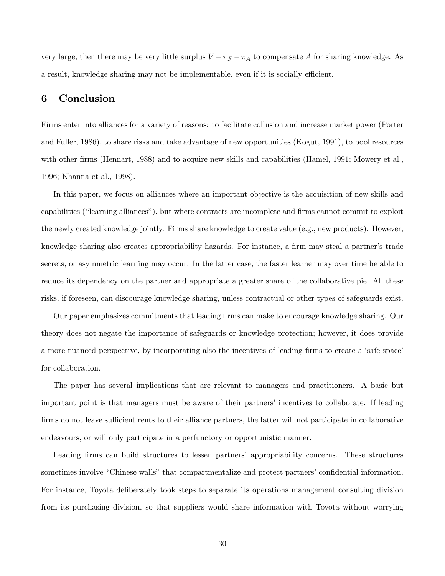very large, then there may be very little surplus  $V - \pi_F - \pi_A$  to compensate A for sharing knowledge. As a result, knowledge sharing may not be implementable, even if it is socially efficient.

### 6 Conclusion

Firms enter into alliances for a variety of reasons: to facilitate collusion and increase market power (Porter and Fuller, 1986), to share risks and take advantage of new opportunities (Kogut, 1991), to pool resources with other firms (Hennart, 1988) and to acquire new skills and capabilities (Hamel, 1991; Mowery et al., 1996; Khanna et al., 1998).

In this paper, we focus on alliances where an important objective is the acquisition of new skills and capabilities ("learning alliances"), but where contracts are incomplete and firms cannot commit to exploit the newly created knowledge jointly. Firms share knowledge to create value (e.g., new products). However, knowledge sharing also creates appropriability hazards. For instance, a firm may steal a partner's trade secrets, or asymmetric learning may occur. In the latter case, the faster learner may over time be able to reduce its dependency on the partner and appropriate a greater share of the collaborative pie. All these risks, if foreseen, can discourage knowledge sharing, unless contractual or other types of safeguards exist.

Our paper emphasizes commitments that leading firms can make to encourage knowledge sharing. Our theory does not negate the importance of safeguards or knowledge protection; however, it does provide a more nuanced perspective, by incorporating also the incentives of leading firms to create a 'safe space' for collaboration.

The paper has several implications that are relevant to managers and practitioners. A basic but important point is that managers must be aware of their partners' incentives to collaborate. If leading firms do not leave sufficient rents to their alliance partners, the latter will not participate in collaborative endeavours, or will only participate in a perfunctory or opportunistic manner.

Leading firms can build structures to lessen partners' appropriability concerns. These structures sometimes involve "Chinese walls" that compartmentalize and protect partners' confidential information. For instance, Toyota deliberately took steps to separate its operations management consulting division from its purchasing division, so that suppliers would share information with Toyota without worrying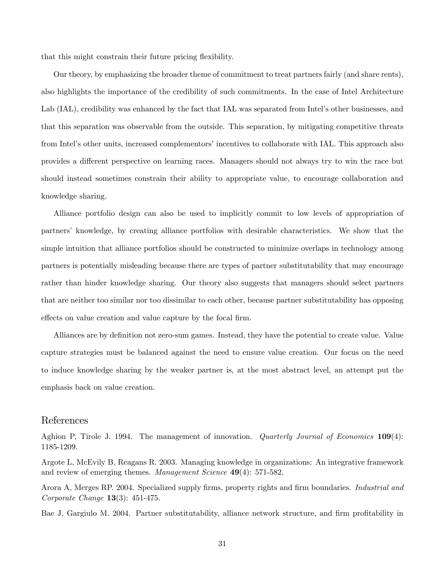that this might constrain their future pricing flexibility.

Our theory, by emphasizing the broader theme of commitment to treat partners fairly (and share rents), also highlights the importance of the credibility of such commitments. In the case of Intel Architecture Lab (IAL), credibility was enhanced by the fact that IAL was separated from Intel's other businesses, and that this separation was observable from the outside. This separation, by mitigating competitive threats from Intel's other units, increased complementors' incentives to collaborate with IAL. This approach also provides a different perspective on learning races. Managers should not always try to win the race but should instead sometimes constrain their ability to appropriate value, to encourage collaboration and knowledge sharing.

Alliance portfolio design can also be used to implicitly commit to low levels of appropriation of partnersí knowledge, by creating alliance portfolios with desirable characteristics. We show that the simple intuition that alliance portfolios should be constructed to minimize overlaps in technology among partners is potentially misleading because there are types of partner substitutability that may encourage rather than hinder knowledge sharing. Our theory also suggests that managers should select partners that are neither too similar nor too dissimilar to each other, because partner substitutability has opposing effects on value creation and value capture by the focal firm.

Alliances are by definition not zero-sum games. Instead, they have the potential to create value. Value capture strategies must be balanced against the need to ensure value creation. Our focus on the need to induce knowledge sharing by the weaker partner is, at the most abstract level, an attempt put the emphasis back on value creation.

### References

Aghion P, Tirole J. 1994. The management of innovation. *Quarterly Journal of Economics* 109(4): 1185-1209.

Argote L, McEvily B, Reagans R. 2003. Managing knowledge in organizations: An integrative framework and review of emerging themes. Management Science 49(4): 571-582.

Arora A, Merges RP. 2004. Specialized supply firms, property rights and firm boundaries. *Industrial and* Corporate Change 13(3): 451-475.

Bae J, Gargiulo M. 2004. Partner substitutability, alliance network structure, and firm profitability in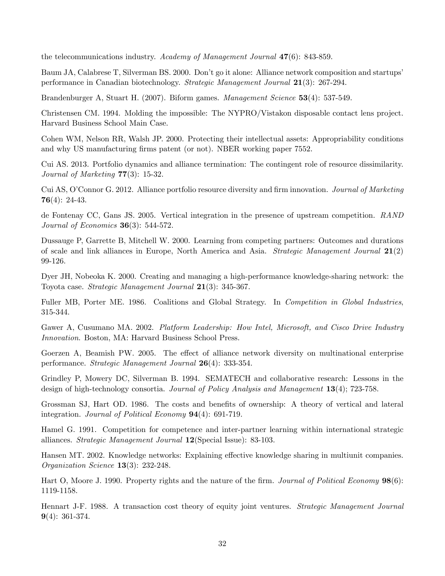the telecommunications industry. Academy of Management Journal 47(6): 843-859.

Baum JA, Calabrese T, Silverman BS. 2000. Don't go it alone: Alliance network composition and startups' performance in Canadian biotechnology. Strategic Management Journal 21(3): 267-294.

Brandenburger A, Stuart H. (2007). Biform games. Management Science 53(4): 537-549.

Christensen CM. 1994. Molding the impossible: The NYPRO/Vistakon disposable contact lens project. Harvard Business School Main Case.

Cohen WM, Nelson RR, Walsh JP. 2000. Protecting their intellectual assets: Appropriability conditions and why US manufacturing firms patent (or not). NBER working paper 7552.

Cui AS. 2013. Portfolio dynamics and alliance termination: The contingent role of resource dissimilarity. Journal of Marketing 77(3): 15-32.

Cui AS, O'Connor G. 2012. Alliance portfolio resource diversity and firm innovation. *Journal of Marketing* 76 $(4)$ : 24-43.

de Fontenay CC, Gans JS. 2005. Vertical integration in the presence of upstream competition. RAND Journal of Economics  $36(3)$ : 544-572.

Dussauge P, Garrette B, Mitchell W. 2000. Learning from competing partners: Outcomes and durations of scale and link alliances in Europe, North America and Asia. Strategic Management Journal 21(2) 99-126.

Dyer JH, Nobeoka K. 2000. Creating and managing a high-performance knowledge-sharing network: the Toyota case. Strategic Management Journal 21(3): 345-367.

Fuller MB, Porter ME. 1986. Coalitions and Global Strategy. In Competition in Global Industries, 315-344.

Gawer A, Cusumano MA. 2002. Platform Leadership: How Intel, Microsoft, and Cisco Drive Industry Innovation. Boston, MA: Harvard Business School Press.

Goerzen A, Beamish PW. 2005. The effect of alliance network diversity on multinational enterprise performance. Strategic Management Journal 26(4): 333-354.

Grindley P, Mowery DC, Silverman B. 1994. SEMATECH and collaborative research: Lessons in the design of high-technology consortia. Journal of Policy Analysis and Management 13(4); 723-758.

Grossman SJ, Hart OD. 1986. The costs and benefits of ownership: A theory of vertical and lateral integration. *Journal of Political Economy* **94**(4): 691-719.

Hamel G. 1991. Competition for competence and inter-partner learning within international strategic alliances. Strategic Management Journal 12(Special Issue): 83-103.

Hansen MT. 2002. Knowledge networks: Explaining effective knowledge sharing in multiunit companies. Organization Science 13(3): 232-248.

Hart O, Moore J. 1990. Property rights and the nature of the firm. Journal of Political Economy  $98(6)$ : 1119-1158.

Hennart J-F. 1988. A transaction cost theory of equity joint ventures. Strategic Management Journal  $9(4): 361-374.$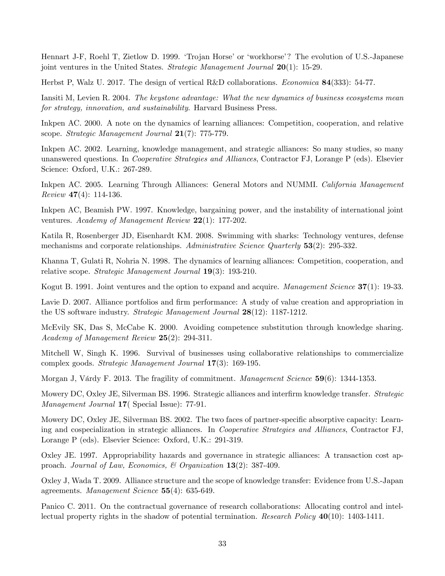Hennart J-F, Roehl T, Zietlow D. 1999. 'Trojan Horse' or 'workhorse'? The evolution of U.S.-Japanese joint ventures in the United States. Strategic Management Journal  $20(1)$ : 15-29.

Herbst P, Walz U. 2017. The design of vertical R&D collaborations. Economica 84(333): 54-77.

Iansiti M, Levien R. 2004. The keystone advantage: What the new dynamics of business ecosystems mean for strategy, innovation, and sustainability. Harvard Business Press.

Inkpen AC. 2000. A note on the dynamics of learning alliances: Competition, cooperation, and relative scope. Strategic Management Journal 21(7): 775-779.

Inkpen AC. 2002. Learning, knowledge management, and strategic alliances: So many studies, so many unanswered questions. In Cooperative Strategies and Alliances, Contractor FJ, Lorange P (eds). Elsevier Science: Oxford, U.K.: 267-289.

Inkpen AC. 2005. Learning Through Alliances: General Motors and NUMMI. California Management *Review* 47(4): 114-136.

Inkpen AC, Beamish PW. 1997. Knowledge, bargaining power, and the instability of international joint ventures. Academy of Management Review 22(1): 177-202.

Katila R, Rosenberger JD, Eisenhardt KM. 2008. Swimming with sharks: Technology ventures, defense mechanisms and corporate relationships. Administrative Science Quarterly 53(2): 295-332.

Khanna T, Gulati R, Nohria N. 1998. The dynamics of learning alliances: Competition, cooperation, and relative scope. Strategic Management Journal 19(3): 193-210.

Kogut B. 1991. Joint ventures and the option to expand and acquire. Management Science 37(1): 19-33.

Lavie D. 2007. Alliance portfolios and firm performance: A study of value creation and appropriation in the US software industry. Strategic Management Journal 28(12): 1187-1212.

McEvily SK, Das S, McCabe K. 2000. Avoiding competence substitution through knowledge sharing. Academy of Management Review  $25(2)$ : 294-311.

Mitchell W, Singh K. 1996. Survival of businesses using collaborative relationships to commercialize complex goods. Strategic Management Journal 17(3): 169-195.

Morgan J, Várdy F. 2013. The fragility of commitment. Management Science 59(6): 1344-1353.

Mowery DC, Oxley JE, Silverman BS. 1996. Strategic alliances and interfirm knowledge transfer. *Strategic* Management Journal 17 (Special Issue): 77-91.

Mowery DC, Oxley JE, Silverman BS. 2002. The two faces of partner-specific absorptive capacity: Learning and cospecialization in strategic alliances. In Cooperative Strategies and Alliances, Contractor FJ, Lorange P (eds). Elsevier Science: Oxford, U.K.: 291-319.

Oxley JE. 1997. Appropriability hazards and governance in strategic alliances: A transaction cost approach. Journal of Law, Economics, & Organization 13(2): 387-409.

Oxley J, Wada T. 2009. Alliance structure and the scope of knowledge transfer: Evidence from U.S.-Japan agreements. Management Science 55(4): 635-649.

Panico C. 2011. On the contractual governance of research collaborations: Allocating control and intellectual property rights in the shadow of potential termination. Research Policy 40(10): 1403-1411.